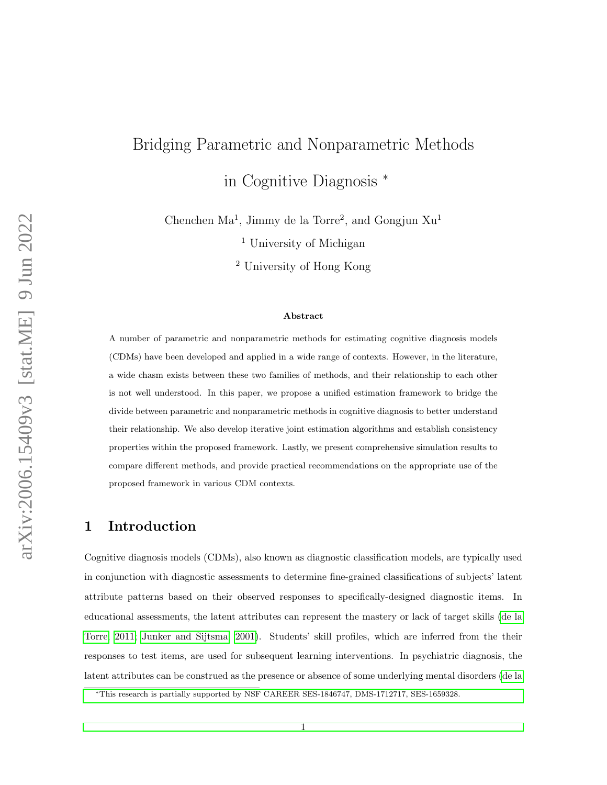# Bridging Parametric and Nonparametric Methods in Cognitive Diagnosis <sup>∗</sup>

Chenchen  $Ma^1$ , Jimmy de la Torre<sup>2</sup>, and Gongjun  $Xu^1$ 

<sup>1</sup> University of Michigan

<sup>2</sup> University of Hong Kong

#### Abstract

A number of parametric and nonparametric methods for estimating cognitive diagnosis models (CDMs) have been developed and applied in a wide range of contexts. However, in the literature, a wide chasm exists between these two families of methods, and their relationship to each other is not well understood. In this paper, we propose a unified estimation framework to bridge the divide between parametric and nonparametric methods in cognitive diagnosis to better understand their relationship. We also develop iterative joint estimation algorithms and establish consistency properties within the proposed framework. Lastly, we present comprehensive simulation results to compare different methods, and provide practical recommendations on the appropriate use of the proposed framework in various CDM contexts.

## 1 Introduction

Cognitive diagnosis models (CDMs), also known as diagnostic classification models, are typically used in conjunction with diagnostic assessments to determine fine-grained classifications of subjects' latent attribute patterns based on their observed responses to specifically-designed diagnostic items. In educational assessments, the latent attributes can represent the mastery or lack of target skills [\(de la](#page-31-0) [Torre, 2011;](#page-31-0) [Junker and Sijtsma, 2001\)](#page-32-0). Students' skill profiles, which are inferred from the their responses to test items, are used for subsequent learning interventions. In psychiatric diagnosis, the latent attributes can be construed as the presence or absence of some underlying mental disorders [\(de la](#page-31-1)

<sup>∗</sup>[This research is partially supported by NSF CAREER SES-1846747, DMS-1712717, SES-1659328.](#page-31-1)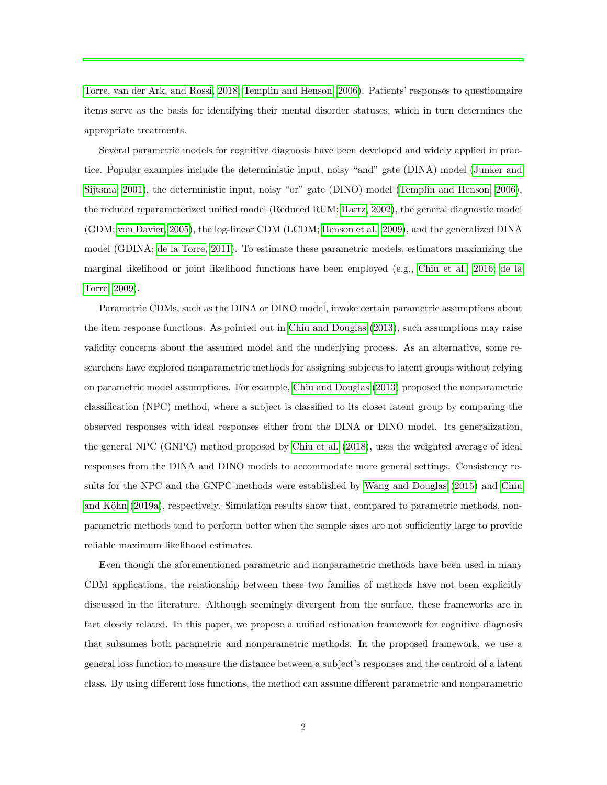[Torre, van der Ark, and Rossi, 2018;](#page-31-1) [Templin and Henson, 2006\)](#page-32-1). Patients' responses to questionnaire items serve as the basis for identifying their mental disorder statuses, which in turn determines the appropriate treatments.

Several parametric models for cognitive diagnosis have been developed and widely applied in practice. Popular examples include the deterministic input, noisy "and" gate (DINA) model [\(Junker and](#page-32-0) [Sijtsma, 2001\)](#page-32-0), the deterministic input, noisy "or" gate (DINO) model [\(Templin and Henson, 2006\)](#page-32-1), the reduced reparameterized unified model (Reduced RUM; [Hartz, 2002\)](#page-31-2), the general diagnostic model (GDM; [von Davier, 2005\)](#page-32-2), the log-linear CDM (LCDM; [Henson et al., 2009\)](#page-32-3), and the generalized DINA model (GDINA; [de la Torre, 2011\)](#page-31-0). To estimate these parametric models, estimators maximizing the marginal likelihood or joint likelihood functions have been employed (e.g., [Chiu et al., 2016;](#page-31-3) [de la](#page-31-4) [Torre, 2009\)](#page-31-4).

Parametric CDMs, such as the DINA or DINO model, invoke certain parametric assumptions about the item response functions. As pointed out in [Chiu and Douglas](#page-30-0) [\(2013\)](#page-30-0), such assumptions may raise validity concerns about the assumed model and the underlying process. As an alternative, some researchers have explored nonparametric methods for assigning subjects to latent groups without relying on parametric model assumptions. For example, [Chiu and Douglas](#page-30-0) [\(2013\)](#page-30-0) proposed the nonparametric classification (NPC) method, where a subject is classified to its closet latent group by comparing the observed responses with ideal responses either from the DINA or DINO model. Its generalization, the general NPC (GNPC) method proposed by [Chiu et al.](#page-31-5) [\(2018\)](#page-31-5), uses the weighted average of ideal responses from the DINA and DINO models to accommodate more general settings. Consistency results for the NPC and the GNPC methods were established by [Wang and Douglas](#page-32-4) [\(2015\)](#page-32-4) and [Chiu](#page-30-1) and Köhn [\(2019a\)](#page-30-1), respectively. Simulation results show that, compared to parametric methods, nonparametric methods tend to perform better when the sample sizes are not sufficiently large to provide reliable maximum likelihood estimates.

Even though the aforementioned parametric and nonparametric methods have been used in many CDM applications, the relationship between these two families of methods have not been explicitly discussed in the literature. Although seemingly divergent from the surface, these frameworks are in fact closely related. In this paper, we propose a unified estimation framework for cognitive diagnosis that subsumes both parametric and nonparametric methods. In the proposed framework, we use a general loss function to measure the distance between a subject's responses and the centroid of a latent class. By using different loss functions, the method can assume different parametric and nonparametric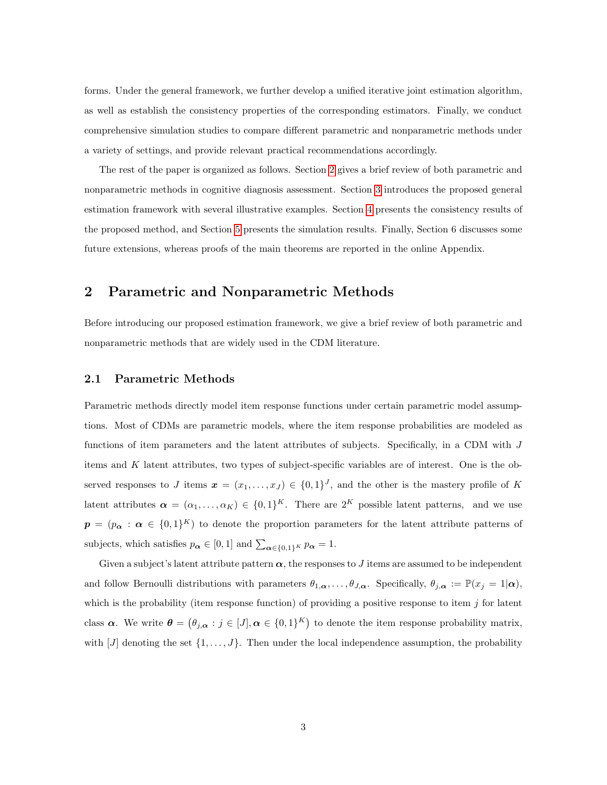forms. Under the general framework, we further develop a unified iterative joint estimation algorithm, as well as establish the consistency properties of the corresponding estimators. Finally, we conduct comprehensive simulation studies to compare different parametric and nonparametric methods under a variety of settings, and provide relevant practical recommendations accordingly.

The rest of the paper is organized as follows. Section [2](#page-2-0) gives a brief review of both parametric and nonparametric methods in cognitive diagnosis assessment. Section [3](#page-7-0) introduces the proposed general estimation framework with several illustrative examples. Section [4](#page-12-0) presents the consistency results of the proposed method, and Section [5](#page-17-0) presents the simulation results. Finally, Section 6 discusses some future extensions, whereas proofs of the main theorems are reported in the online Appendix.

## <span id="page-2-0"></span>2 Parametric and Nonparametric Methods

Before introducing our proposed estimation framework, we give a brief review of both parametric and nonparametric methods that are widely used in the CDM literature.

#### <span id="page-2-1"></span>2.1 Parametric Methods

Parametric methods directly model item response functions under certain parametric model assumptions. Most of CDMs are parametric models, where the item response probabilities are modeled as functions of item parameters and the latent attributes of subjects. Specifically, in a CDM with J items and K latent attributes, two types of subject-specific variables are of interest. One is the observed responses to J items  $\boldsymbol{x} = (x_1, \ldots, x_J) \in \{0,1\}^J$ , and the other is the mastery profile of K latent attributes  $\boldsymbol{\alpha} = (\alpha_1, \dots, \alpha_K) \in \{0,1\}^K$ . There are  $2^K$  possible latent patterns, and we use  $p = (p_{\alpha}: \alpha \in \{0,1\}^{K})$  to denote the proportion parameters for the latent attribute patterns of subjects, which satisfies  $p_{\alpha} \in [0,1]$  and  $\sum_{\alpha \in \{0,1\}^K} p_{\alpha} = 1$ .

Given a subject's latent attribute pattern  $\alpha$ , the responses to J items are assumed to be independent and follow Bernoulli distributions with parameters  $\theta_{1,\alpha}, \ldots, \theta_{J,\alpha}$ . Specifically,  $\theta_{j,\alpha} := \mathbb{P}(x_j = 1 | \alpha)$ , which is the probability (item response function) of providing a positive response to item  $j$  for latent class  $\alpha$ . We write  $\theta = (\theta_{j,\alpha} : j \in [J], \alpha \in \{0,1\}^K)$  to denote the item response probability matrix, with  $[J]$  denoting the set  $\{1, \ldots, J\}$ . Then under the local independence assumption, the probability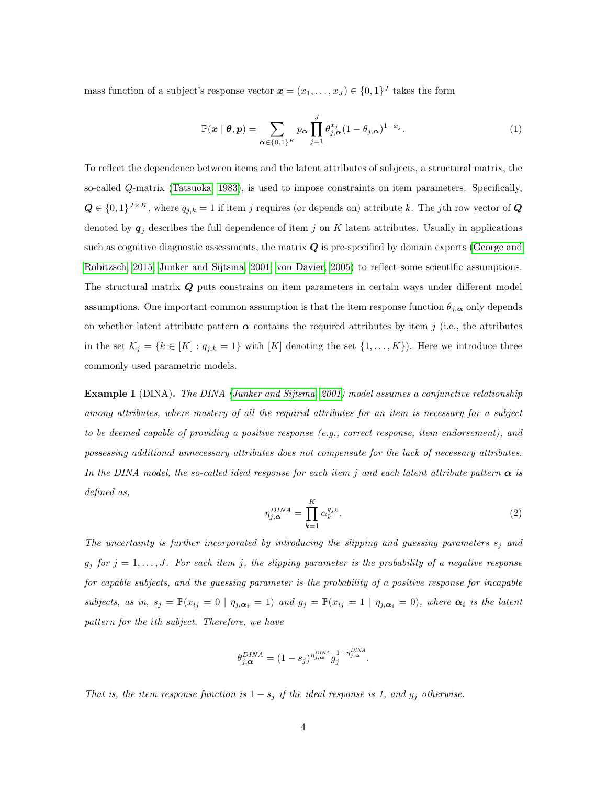mass function of a subject's response vector  $\boldsymbol{x} = (x_1, \ldots, x_J) \in \{0, 1\}^J$  takes the form

$$
\mathbb{P}(\boldsymbol{x} \mid \boldsymbol{\theta}, \boldsymbol{p}) = \sum_{\boldsymbol{\alpha} \in \{0,1\}^K} p_{\boldsymbol{\alpha}} \prod_{j=1}^J \theta_{j, \boldsymbol{\alpha}}^{x_j} (1 - \theta_{j, \boldsymbol{\alpha}})^{1 - x_j}.
$$
 (1)

To reflect the dependence between items and the latent attributes of subjects, a structural matrix, the so-called Q-matrix [\(Tatsuoka, 1983\)](#page-32-5), is used to impose constraints on item parameters. Specifically,  $\mathbf{Q} \in \{0,1\}^{J \times K}$ , where  $q_{j,k} = 1$  if item j requires (or depends on) attribute k. The jth row vector of  $\mathbf{Q}$ denoted by  $q_j$  describes the full dependence of item j on K latent attributes. Usually in applications such as cognitive diagnostic assessments, the matrix  $Q$  is pre-specified by domain experts [\(George and](#page-31-6) [Robitzsch, 2015;](#page-31-6) [Junker and Sijtsma, 2001;](#page-32-0) [von Davier, 2005\)](#page-32-2) to reflect some scientific assumptions. The structural matrix Q puts constrains on item parameters in certain ways under different model assumptions. One important common assumption is that the item response function  $\theta_{j,\alpha}$  only depends on whether latent attribute pattern  $\alpha$  contains the required attributes by item j (i.e., the attributes in the set  $\mathcal{K}_j = \{k \in [K] : q_{j,k} = 1\}$  with  $[K]$  denoting the set  $\{1, \ldots, K\}$ ). Here we introduce three commonly used parametric models.

Example 1 (DINA). The DINA [\(Junker and Sijtsma, 2001\)](#page-32-0) model assumes a conjunctive relationship among attributes, where mastery of all the required attributes for an item is necessary for a subject to be deemed capable of providing a positive response (e.g., correct response, item endorsement), and possessing additional unnecessary attributes does not compensate for the lack of necessary attributes. In the DINA model, the so-called ideal response for each item j and each latent attribute pattern  $\alpha$  is defined as,

<span id="page-3-0"></span>
$$
\eta_{j,\alpha}^{DINA} = \prod_{k=1}^{K} \alpha_k^{q_{jk}}.
$$
\n(2)

The uncertainty is further incorporated by introducing the slipping and guessing parameters  $s_i$  and  $g_j$  for  $j = 1, \ldots, J$ . For each item j, the slipping parameter is the probability of a negative response for capable subjects, and the guessing parameter is the probability of a positive response for incapable subjects, as in,  $s_j = \mathbb{P}(x_{ij} = 0 | \eta_{j,\alpha_i} = 1)$  and  $g_j = \mathbb{P}(x_{ij} = 1 | \eta_{j,\alpha_i} = 0)$ , where  $\alpha_i$  is the latent pattern for the ith subject. Therefore, we have

$$
\theta_{j,\alpha}^{DINA}=(1-s_j)^{\eta_{j,\alpha}^{DINA}}g_j^{1-\eta_{j,\alpha}^{DINA}}.
$$

That is, the item response function is  $1 - s_j$  if the ideal response is 1, and  $g_j$  otherwise.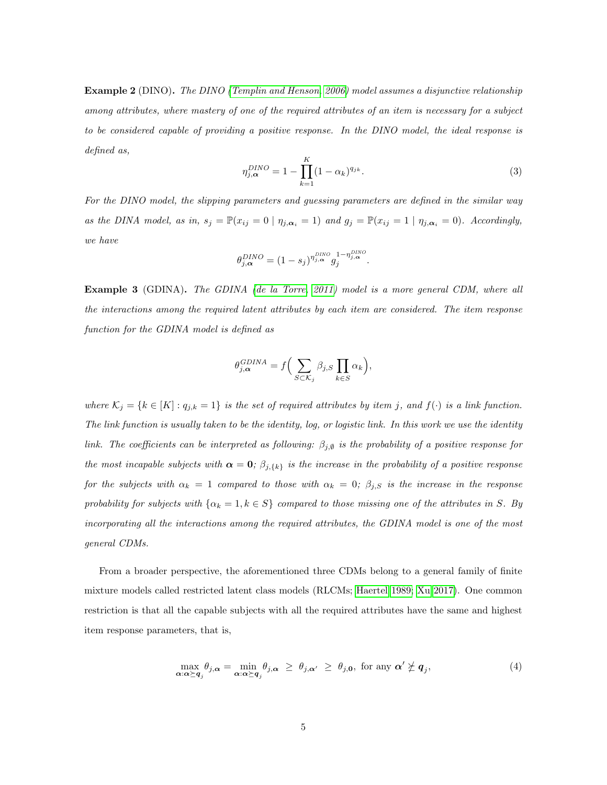Example 2 (DINO). The DINO [\(Templin and Henson, 2006\)](#page-32-1) model assumes a disjunctive relationship among attributes, where mastery of one of the required attributes of an item is necessary for a subject to be considered capable of providing a positive response. In the DINO model, the ideal response is defined as,

<span id="page-4-0"></span>
$$
\eta_{j,\alpha}^{DINO} = 1 - \prod_{k=1}^{K} (1 - \alpha_k)^{q_{jk}}.
$$
\n(3)

For the DINO model, the slipping parameters and guessing parameters are defined in the similar way as the DINA model, as in,  $s_j = \mathbb{P}(x_{ij} = 0 \mid \eta_{j,\alpha_i} = 1)$  and  $g_j = \mathbb{P}(x_{ij} = 1 \mid \eta_{j,\alpha_i} = 0)$ . Accordingly, we have

$$
\theta_{j,\alpha}^{DINO} = (1 - s_j)^{\eta_{j,\alpha}^{DINO}} g_j^{1 - \eta_{j,\alpha}^{DINO}}.
$$

Example 3 (GDINA). The GDINA [\(de la Torre, 2011\)](#page-31-0) model is a more general CDM, where all the interactions among the required latent attributes by each item are considered. The item response function for the GDINA model is defined as

$$
\theta_{j,\alpha}^{GDINA} = f\Big(\sum_{S \subset \mathcal{K}_j} \beta_{j,S} \prod_{k \in S} \alpha_k\Big),\,
$$

where  $\mathcal{K}_j = \{k \in [K] : q_{j,k} = 1\}$  is the set of required attributes by item j, and  $f(\cdot)$  is a link function. The link function is usually taken to be the identity, log, or logistic link. In this work we use the identity link. The coefficients can be interpreted as following:  $\beta_{j,\emptyset}$  is the probability of a positive response for the most incapable subjects with  $\alpha = 0$ ;  $\beta_{j,\{k\}}$  is the increase in the probability of a positive response for the subjects with  $\alpha_k = 1$  compared to those with  $\alpha_k = 0$ ;  $\beta_{j,S}$  is the increase in the response probability for subjects with  $\{\alpha_k = 1, k \in S\}$  compared to those missing one of the attributes in S. By incorporating all the interactions among the required attributes, the GDINA model is one of the most general CDMs.

From a broader perspective, the aforementioned three CDMs belong to a general family of finite mixture models called restricted latent class models (RLCMs; [Haertel 1989;](#page-31-7) [Xu 2017\)](#page-33-0). One common restriction is that all the capable subjects with all the required attributes have the same and highest item response parameters, that is,

$$
\max_{\boldsymbol{\alpha}:\boldsymbol{\alpha} \succeq \boldsymbol{q}_j} \theta_{j,\boldsymbol{\alpha}} = \min_{\boldsymbol{\alpha}:\boldsymbol{\alpha} \succeq \boldsymbol{q}_j} \theta_{j,\boldsymbol{\alpha}} \ \geq \ \theta_{j,\boldsymbol{\alpha}'} \ \geq \ \theta_{j,\boldsymbol{0}}, \ \text{for any } \boldsymbol{\alpha}' \not\geq \boldsymbol{q}_j, \tag{4}
$$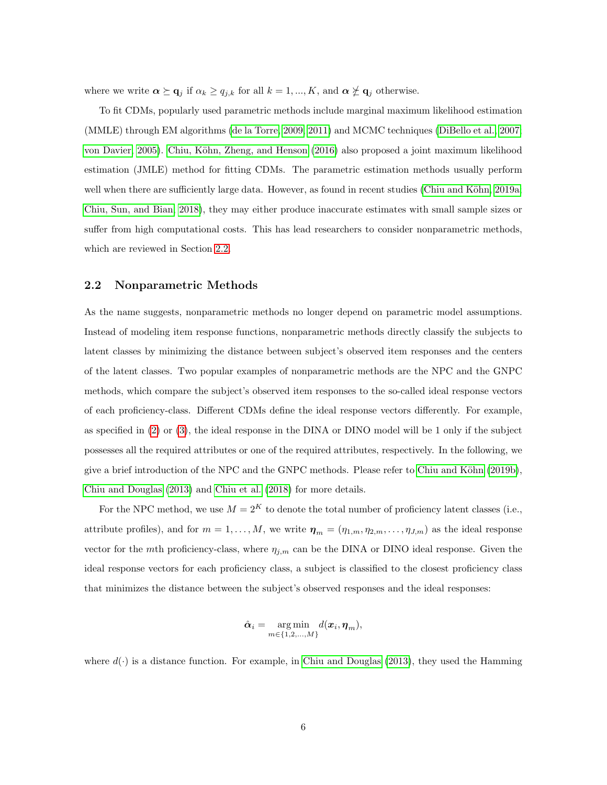where we write  $\alpha \succeq \mathbf{q}_j$  if  $\alpha_k \ge q_{j,k}$  for all  $k = 1, ..., K$ , and  $\alpha \not\succeq \mathbf{q}_j$  otherwise.

To fit CDMs, popularly used parametric methods include marginal maximum likelihood estimation (MMLE) through EM algorithms [\(de la Torre, 2009,](#page-31-4) [2011\)](#page-31-0) and MCMC techniques [\(DiBello et al., 2007;](#page-31-8) [von Davier, 2005\)](#page-32-2). Chiu, Köhn, Zheng, and Henson [\(2016\)](#page-31-3) also proposed a joint maximum likelihood estimation (JMLE) method for fitting CDMs. The parametric estimation methods usually perform well when there are sufficiently large data. However, as found in recent studies (Chiu and Köhn, 2019a; [Chiu, Sun, and Bian, 2018\)](#page-31-5), they may either produce inaccurate estimates with small sample sizes or suffer from high computational costs. This has lead researchers to consider nonparametric methods, which are reviewed in Section [2.2.](#page-5-0)

#### <span id="page-5-0"></span>2.2 Nonparametric Methods

As the name suggests, nonparametric methods no longer depend on parametric model assumptions. Instead of modeling item response functions, nonparametric methods directly classify the subjects to latent classes by minimizing the distance between subject's observed item responses and the centers of the latent classes. Two popular examples of nonparametric methods are the NPC and the GNPC methods, which compare the subject's observed item responses to the so-called ideal response vectors of each proficiency-class. Different CDMs define the ideal response vectors differently. For example, as specified in [\(2\)](#page-3-0) or [\(3\)](#page-4-0), the ideal response in the DINA or DINO model will be 1 only if the subject possesses all the required attributes or one of the required attributes, respectively. In the following, we give a brief introduction of the NPC and the GNPC methods. Please refer to Chiu and Köhn  $(2019b)$ , [Chiu and Douglas](#page-30-0) [\(2013\)](#page-30-0) and [Chiu et al.](#page-31-5) [\(2018\)](#page-31-5) for more details.

For the NPC method, we use  $M = 2<sup>K</sup>$  to denote the total number of proficiency latent classes (i.e., attribute profiles), and for  $m = 1, ..., M$ , we write  $\boldsymbol{\eta}_m = (\eta_{1,m}, \eta_{2,m}, ..., \eta_{J,m})$  as the ideal response vector for the mth proficiency-class, where  $\eta_{j,m}$  can be the DINA or DINO ideal response. Given the ideal response vectors for each proficiency class, a subject is classified to the closest proficiency class that minimizes the distance between the subject's observed responses and the ideal responses:

$$
\hat{\boldsymbol{\alpha}}_i = \underset{m \in \{1, 2, ..., M\}}{\arg \min} d(\boldsymbol{x}_i, \boldsymbol{\eta}_m),
$$

where  $d(\cdot)$  is a distance function. For example, in [Chiu and Douglas](#page-30-0) [\(2013\)](#page-30-0), they used the Hamming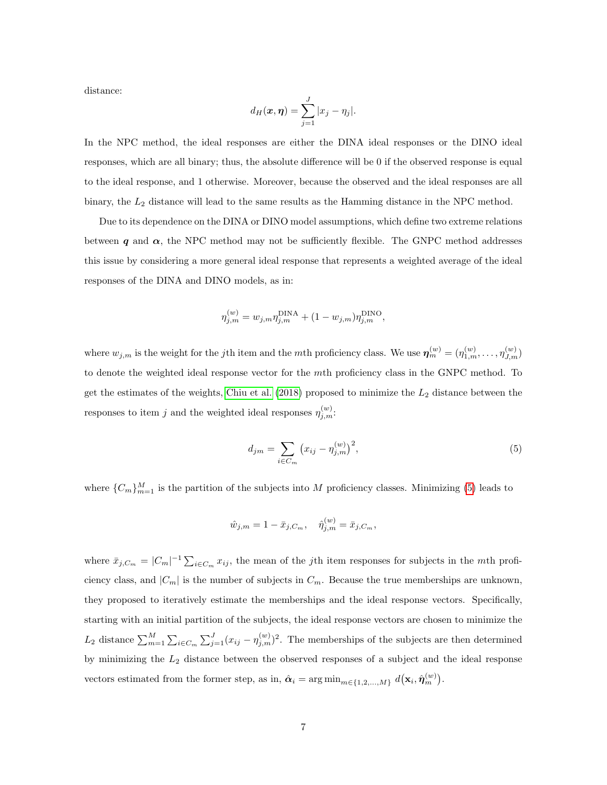distance:

$$
d_H(\boldsymbol{x},\boldsymbol{\eta}) = \sum_{j=1}^J |x_j - \eta_j|.
$$

In the NPC method, the ideal responses are either the DINA ideal responses or the DINO ideal responses, which are all binary; thus, the absolute difference will be 0 if the observed response is equal to the ideal response, and 1 otherwise. Moreover, because the observed and the ideal responses are all binary, the  $L_2$  distance will lead to the same results as the Hamming distance in the NPC method.

Due to its dependence on the DINA or DINO model assumptions, which define two extreme relations between q and  $\alpha$ , the NPC method may not be sufficiently flexible. The GNPC method addresses this issue by considering a more general ideal response that represents a weighted average of the ideal responses of the DINA and DINO models, as in:

$$
\eta_{j,m}^{(w)} = w_{j,m} \eta_{j,m}^{\text{DINA}} + (1 - w_{j,m}) \eta_{j,m}^{\text{DINO}},
$$

where  $w_{j,m}$  is the weight for the jth item and the mth proficiency class. We use  $\boldsymbol{\eta}_{m}^{(w)} = (\eta_{1,m}^{(w)}, \ldots, \eta_{J,m}^{(w)})$ to denote the weighted ideal response vector for the mth proficiency class in the GNPC method. To get the estimates of the weights, [Chiu et al.](#page-31-5) [\(2018\)](#page-31-5) proposed to minimize the  $L_2$  distance between the responses to item j and the weighted ideal responses  $\eta_{j,m}^{(w)}$ .

<span id="page-6-0"></span>
$$
d_{jm} = \sum_{i \in C_m} (x_{ij} - \eta_{j,m}^{(w)})^2,
$$
\n(5)

where  $\{C_m\}_{m=1}^M$  is the partition of the subjects into M proficiency classes. Minimizing [\(5\)](#page-6-0) leads to

$$
\hat{w}_{j,m} = 1 - \bar{x}_{j,C_m}, \quad \hat{\eta}_{j,m}^{(w)} = \bar{x}_{j,C_m},
$$

where  $\bar{x}_{j,C_m} = |C_m|^{-1} \sum_{i \in C_m} x_{ij}$ , the mean of the jth item responses for subjects in the mth proficiency class, and  $|C_m|$  is the number of subjects in  $C_m$ . Because the true memberships are unknown, they proposed to iteratively estimate the memberships and the ideal response vectors. Specifically, starting with an initial partition of the subjects, the ideal response vectors are chosen to minimize the  $L_2$  distance  $\sum_{m=1}^{M} \sum_{i \in C_m} \sum_{j=1}^{J} (x_{ij} - \eta_{j,m}^{(w)})^2$ . The memberships of the subjects are then determined by minimizing the  $L_2$  distance between the observed responses of a subject and the ideal response vectors estimated from the former step, as in,  $\hat{\boldsymbol{\alpha}}_i = \arg \min_{m \in \{1, 2, ..., M\}} d(\mathbf{x}_i, \hat{\boldsymbol{\eta}}_m^{(w)})$ .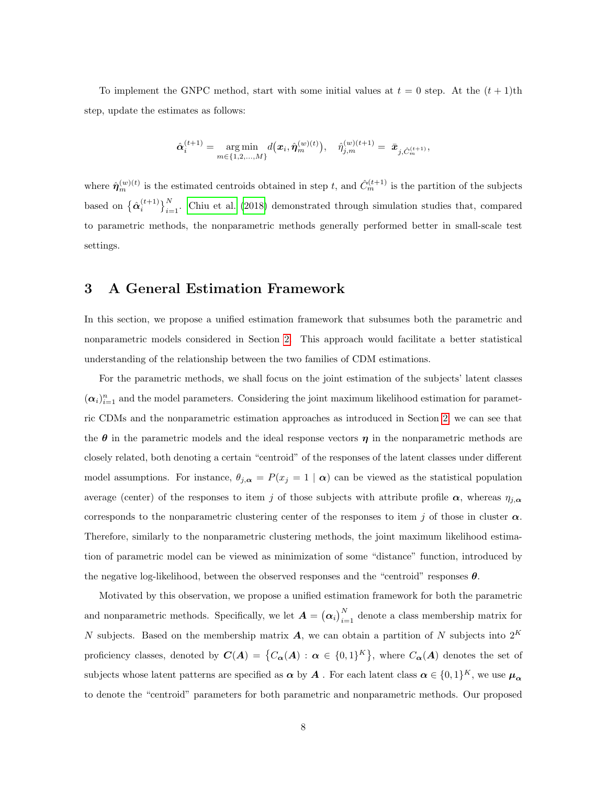To implement the GNPC method, start with some initial values at  $t = 0$  step. At the  $(t + 1)$ th step, update the estimates as follows:

$$
\hat{\boldsymbol{\alpha}}_i^{(t+1)} = \underset{m \in \{1, 2, \ldots, M\}}{\arg \min} d(\boldsymbol{x}_i, \hat{\boldsymbol{\eta}}_m^{(w)(t)}), \quad \hat{\eta}_{j,m}^{(w)(t+1)} = \bar{\boldsymbol{x}}_{j, \hat{C}_m^{(t+1)}},
$$

where  $\hat{\eta}_m^{(w)(t)}$  is the estimated centroids obtained in step t, and  $\hat{C}_m^{(t+1)}$  is the partition of the subjects based on  $\{\hat{\alpha}_i^{(t+1)}\}_{i=1}^N$ . [Chiu et al.](#page-31-5) [\(2018\)](#page-31-5) demonstrated through simulation studies that, compared to parametric methods, the nonparametric methods generally performed better in small-scale test settings.

## <span id="page-7-0"></span>3 A General Estimation Framework

In this section, we propose a unified estimation framework that subsumes both the parametric and nonparametric models considered in Section [2.](#page-2-0) This approach would facilitate a better statistical understanding of the relationship between the two families of CDM estimations.

For the parametric methods, we shall focus on the joint estimation of the subjects' latent classes  $(\alpha_i)_{i=1}^n$  and the model parameters. Considering the joint maximum likelihood estimation for parametric CDMs and the nonparametric estimation approaches as introduced in Section [2,](#page-2-0) we can see that the  $\theta$  in the parametric models and the ideal response vectors  $\eta$  in the nonparametric methods are closely related, both denoting a certain "centroid" of the responses of the latent classes under different model assumptions. For instance,  $\theta_{j,\alpha} = P(x_j = 1 | \alpha)$  can be viewed as the statistical population average (center) of the responses to item j of those subjects with attribute profile  $\alpha$ , whereas  $\eta_{j,\alpha}$ corresponds to the nonparametric clustering center of the responses to item j of those in cluster  $\alpha$ . Therefore, similarly to the nonparametric clustering methods, the joint maximum likelihood estimation of parametric model can be viewed as minimization of some "distance" function, introduced by the negative log-likelihood, between the observed responses and the "centroid" responses  $\theta$ .

Motivated by this observation, we propose a unified estimation framework for both the parametric and nonparametric methods. Specifically, we let  $A = (\alpha_i)_{i=1}^N$  denote a class membership matrix for N subjects. Based on the membership matrix  $\boldsymbol{A}$ , we can obtain a partition of N subjects into  $2^K$ proficiency classes, denoted by  $C(A) = \{C_{\alpha}(A) : \alpha \in \{0,1\}^{K}\}\$ , where  $C_{\alpha}(A)$  denotes the set of subjects whose latent patterns are specified as  $\alpha$  by  $A$  . For each latent class  $\alpha \in \{0,1\}^K$ , we use  $\mu_\alpha$ to denote the "centroid" parameters for both parametric and nonparametric methods. Our proposed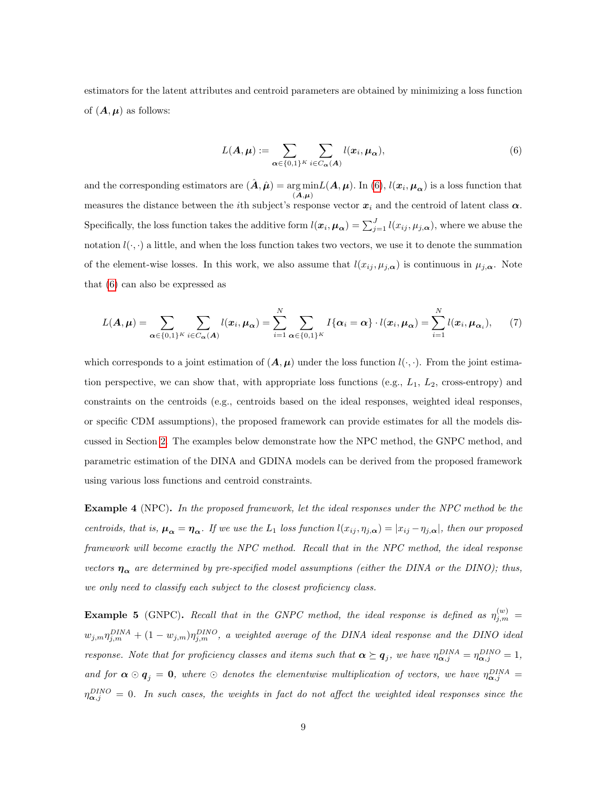estimators for the latent attributes and centroid parameters are obtained by minimizing a loss function of  $(A, \mu)$  as follows:

<span id="page-8-0"></span>
$$
L(\mathbf{A}, \boldsymbol{\mu}) := \sum_{\boldsymbol{\alpha} \in \{0,1\}^K} \sum_{i \in C_{\boldsymbol{\alpha}}(\mathbf{A})} l(\boldsymbol{x}_i, \boldsymbol{\mu}_{\boldsymbol{\alpha}}),
$$
(6)

and the corresponding estimators are  $(\hat{\boldsymbol{A}}, \hat{\boldsymbol{\mu}}) = \arg \min$ rg min $L(\mathbf{A}, \boldsymbol{\mu})$ . In [\(6\)](#page-8-0),  $l(\boldsymbol{x}_i, \boldsymbol{\mu_{\alpha}})$  is a loss function that  $(\mathbf{A}, \boldsymbol{\mu})$ measures the distance between the *i*th subject's response vector  $x_i$  and the centroid of latent class  $\alpha$ . Specifically, the loss function takes the additive form  $l(\bm{x}_i, \bm{\mu}_{\bm{\alpha}}) = \sum_{j=1}^J l(x_{ij}, \mu_{j, \bm{\alpha}})$ , where we abuse the notation  $l(\cdot, \cdot)$  a little, and when the loss function takes two vectors, we use it to denote the summation of the element-wise losses. In this work, we also assume that  $l(x_{ij}, \mu_{j,\alpha})$  is continuous in  $\mu_{j,\alpha}$ . Note that [\(6\)](#page-8-0) can also be expressed as

$$
L(\mathbf{A}, \boldsymbol{\mu}) = \sum_{\boldsymbol{\alpha} \in \{0,1\}^K} \sum_{i \in C_{\boldsymbol{\alpha}}(\mathbf{A})} l(\boldsymbol{x}_i, \boldsymbol{\mu}_{\boldsymbol{\alpha}}) = \sum_{i=1}^N \sum_{\boldsymbol{\alpha} \in \{0,1\}^K} I\{\boldsymbol{\alpha}_i = \boldsymbol{\alpha}\} \cdot l(\boldsymbol{x}_i, \boldsymbol{\mu}_{\boldsymbol{\alpha}}) = \sum_{i=1}^N l(\boldsymbol{x}_i, \boldsymbol{\mu}_{\boldsymbol{\alpha}_i}), \qquad (7)
$$

which corresponds to a joint estimation of  $(A, \mu)$  under the loss function  $l(\cdot, \cdot)$ . From the joint estimation perspective, we can show that, with appropriate loss functions (e.g.,  $L_1$ ,  $L_2$ , cross-entropy) and constraints on the centroids (e.g., centroids based on the ideal responses, weighted ideal responses, or specific CDM assumptions), the proposed framework can provide estimates for all the models discussed in Section [2.](#page-2-0) The examples below demonstrate how the NPC method, the GNPC method, and parametric estimation of the DINA and GDINA models can be derived from the proposed framework using various loss functions and centroid constraints.

<span id="page-8-1"></span>Example 4 (NPC). In the proposed framework, let the ideal responses under the NPC method be the centroids, that is,  $\mu_{\alpha} = \eta_{\alpha}$ . If we use the L<sub>1</sub> loss function  $l(x_{ij}, \eta_{j,\alpha}) = |x_{ij} - \eta_{j,\alpha}|$ , then our proposed framework will become exactly the NPC method. Recall that in the NPC method, the ideal response vectors  $\eta_{\alpha}$  are determined by pre-specified model assumptions (either the DINA or the DINO); thus, we only need to classify each subject to the closest proficiency class.

<span id="page-8-2"></span>**Example 5** (GNPC). Recall that in the GNPC method, the ideal response is defined as  $\eta_{j,m}^{(w)} =$  $w_{j,m}\eta_{j,m}^{DINA} + (1-w_{j,m})\eta_{j,m}^{DINO}$ , a weighted average of the DINA ideal response and the DINO ideal response. Note that for proficiency classes and items such that  $\alpha \succeq q_j$ , we have  $\eta_{\alpha,j}^{DINA} = \eta_{\alpha,j}^{DINO} = 1$ , and for  $\alpha \odot q_j = 0$ , where  $\odot$  denotes the elementwise multiplication of vectors, we have  $\eta_{\alpha,j}^{DINA} =$  $\eta_{\boldsymbol\alpha,j}^{DINO}=0.$  In such cases, the weights in fact do not affect the weighted ideal responses since the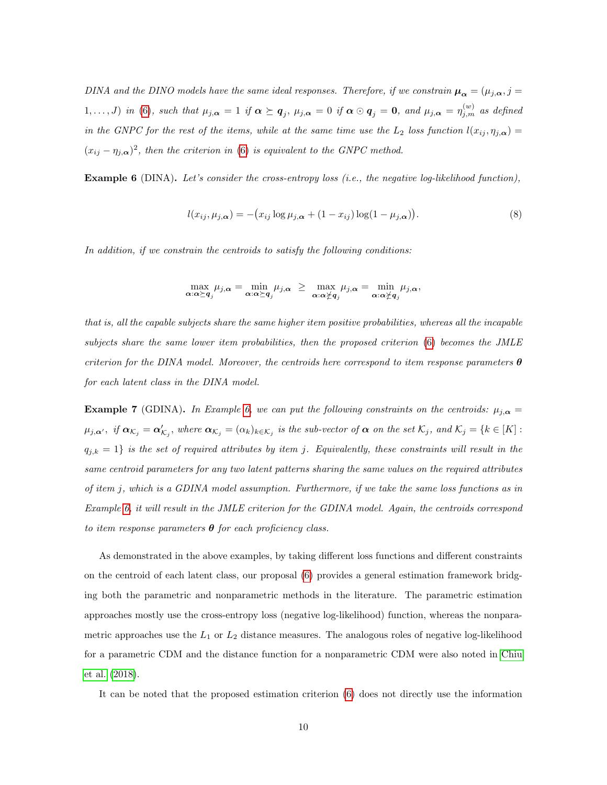DINA and the DINO models have the same ideal responses. Therefore, if we constrain  $\mu_{\alpha} = (\mu_{j,\alpha}, j =$  $1,\ldots,J$ ) in [\(6\)](#page-8-0), such that  $\mu_{j,\alpha} = 1$  if  $\alpha \succeq q_j$ ,  $\mu_{j,\alpha} = 0$  if  $\alpha \odot q_j = 0$ , and  $\mu_{j,\alpha} = \eta_{j,m}^{(w)}$  as defined in the GNPC for the rest of the items, while at the same time use the  $L_2$  loss function  $l(x_{ij}, \eta_{j,\alpha}) =$  $(x_{ij} - \eta_{j,\alpha})^2$ , then the criterion in [\(6\)](#page-8-0) is equivalent to the GNPC method.

**Example 6** (DINA). Let's consider the cross-entropy loss (i.e., the negative log-likelihood function),

<span id="page-9-0"></span>
$$
l(x_{ij}, \mu_{j,\alpha}) = -(x_{ij}\log\mu_{j,\alpha} + (1 - x_{ij})\log(1 - \mu_{j,\alpha})).
$$
\n(8)

In addition, if we constrain the centroids to satisfy the following conditions:

$$
\max_{\alpha:\alpha\succeq q_j}\mu_{j,\alpha}=\min_{\alpha:\alpha\succeq q_j}\mu_{j,\alpha} \ \geq \ \max_{\alpha:\alpha\not\succeq q_j}\mu_{j,\alpha}=\min_{\alpha:\alpha\not\succeq q_j}\mu_{j,\alpha},
$$

that is, all the capable subjects share the same higher item positive probabilities, whereas all the incapable subjects share the same lower item probabilities, then the proposed criterion [\(6\)](#page-8-0) becomes the JMLE criterion for the DINA model. Moreover, the centroids here correspond to item response parameters  $\boldsymbol{\theta}$ for each latent class in the DINA model.

<span id="page-9-1"></span>**Example 7** (GDINA). In Example [6,](#page-9-0) we can put the following constraints on the centroids:  $\mu_{j,\alpha} =$  $\mu_{j,\alpha'}$ , if  $\bm{\alpha}_{\mathcal{K}_j} = \bm{\alpha}'_{\mathcal{K}_j}$ , where  $\bm{\alpha}_{\mathcal{K}_j} = (\alpha_k)_{k \in \mathcal{K}_j}$  is the sub-vector of  $\bm{\alpha}$  on the set  $\mathcal{K}_j$ , and  $\mathcal{K}_j = \{k \in [K]:$  $q_{j,k} = 1$  is the set of required attributes by item j. Equivalently, these constraints will result in the same centroid parameters for any two latent patterns sharing the same values on the required attributes of item j, which is a GDINA model assumption. Furthermore, if we take the same loss functions as in Example [6,](#page-9-0) it will result in the JMLE criterion for the GDINA model. Again, the centroids correspond to item response parameters  $\theta$  for each proficiency class.

As demonstrated in the above examples, by taking different loss functions and different constraints on the centroid of each latent class, our proposal [\(6\)](#page-8-0) provides a general estimation framework bridging both the parametric and nonparametric methods in the literature. The parametric estimation approaches mostly use the cross-entropy loss (negative log-likelihood) function, whereas the nonparametric approaches use the  $L_1$  or  $L_2$  distance measures. The analogous roles of negative log-likelihood for a parametric CDM and the distance function for a nonparametric CDM were also noted in [Chiu](#page-31-5) [et al.](#page-31-5) [\(2018\)](#page-31-5).

It can be noted that the proposed estimation criterion [\(6\)](#page-8-0) does not directly use the information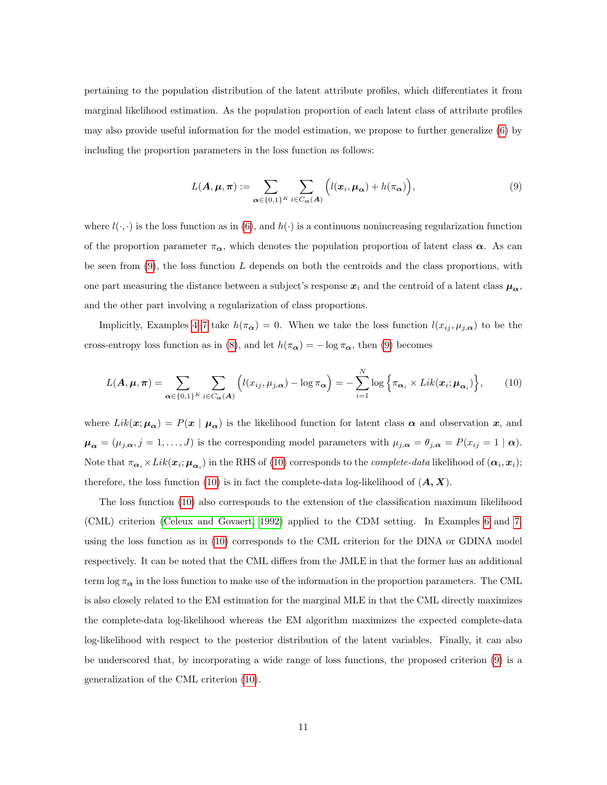pertaining to the population distribution of the latent attribute profiles, which differentiates it from marginal likelihood estimation. As the population proportion of each latent class of attribute profiles may also provide useful information for the model estimation, we propose to further generalize [\(6\)](#page-8-0) by including the proportion parameters in the loss function as follows:

<span id="page-10-0"></span>
$$
L(\mathbf{A}, \boldsymbol{\mu}, \boldsymbol{\pi}) := \sum_{\boldsymbol{\alpha} \in \{0,1\}^K} \sum_{i \in C_{\boldsymbol{\alpha}}(\mathbf{A})} \left( l(\boldsymbol{x}_i, \boldsymbol{\mu}_{\boldsymbol{\alpha}}) + h(\pi_{\boldsymbol{\alpha}}) \right), \tag{9}
$$

where  $l(\cdot, \cdot)$  is the loss function as in [\(6\)](#page-8-0), and  $h(\cdot)$  is a continuous nonincreasing regularization function of the proportion parameter  $\pi_{\alpha}$ , which denotes the population proportion of latent class  $\alpha$ . As can be seen from  $(9)$ , the loss function L depends on both the centroids and the class proportions, with one part measuring the distance between a subject's response  $x_i$  and the centroid of a latent class  $\mu_{\alpha}$ , and the other part involving a regularization of class proportions.

Implicitly, Examples [4](#page-8-1)[–7](#page-9-1) take  $h(\pi_{\alpha}) = 0$ . When we take the loss function  $l(x_{ij}, \mu_{j,\alpha})$  to be the cross-entropy loss function as in [\(8\)](#page-9-0), and let  $h(\pi_{\alpha}) = -\log \pi_{\alpha}$ , then [\(9\)](#page-10-0) becomes

<span id="page-10-1"></span>
$$
L(\mathbf{A}, \boldsymbol{\mu}, \boldsymbol{\pi}) = \sum_{\boldsymbol{\alpha} \in \{0,1\}^K} \sum_{i \in C_{\boldsymbol{\alpha}}(\mathbf{A})} \Big( l(x_{ij}, \mu_{j,\boldsymbol{\alpha}}) - \log \pi_{\boldsymbol{\alpha}} \Big) = - \sum_{i=1}^N \log \Big\{ \pi_{\boldsymbol{\alpha}_i} \times Lik(\boldsymbol{x}_i; \boldsymbol{\mu}_{\boldsymbol{\alpha}_i}) \Big\},\qquad(10)
$$

where  $Lik(\mathbf{x}; \mu_{\alpha}) = P(\mathbf{x} | \mu_{\alpha})$  is the likelihood function for latent class  $\alpha$  and observation  $\mathbf{x}$ , and  $\mu_{\alpha} = (\mu_{j,\alpha}, j = 1, \ldots, J)$  is the corresponding model parameters with  $\mu_{j,\alpha} = \theta_{j,\alpha} = P(x_{ij} = 1 | \alpha)$ . Note that  $\pi_{\alpha_i} \times Lik(\bm{x}_i; \mu_{\alpha_i})$  in the RHS of [\(10\)](#page-10-1) corresponds to the *complete-data* likelihood of  $(\alpha_i, \bm{x}_i)$ ; therefore, the loss function [\(10\)](#page-10-1) is in fact the complete-data log-likelihood of  $(A, X)$ .

The loss function [\(10\)](#page-10-1) also corresponds to the extension of the classification maximum likelihood (CML) criterion [\(Celeux and Govaert, 1992\)](#page-30-3) applied to the CDM setting. In Examples [6](#page-9-0) and [7,](#page-9-1) using the loss function as in [\(10\)](#page-10-1) corresponds to the CML criterion for the DINA or GDINA model respectively. It can be noted that the CML differs from the JMLE in that the former has an additional term  $\log \pi_{\alpha}$  in the loss function to make use of the information in the proportion parameters. The CML is also closely related to the EM estimation for the marginal MLE in that the CML directly maximizes the complete-data log-likelihood whereas the EM algorithm maximizes the expected complete-data log-likelihood with respect to the posterior distribution of the latent variables. Finally, it can also be underscored that, by incorporating a wide range of loss functions, the proposed criterion [\(9\)](#page-10-0) is a generalization of the CML criterion [\(10\)](#page-10-1).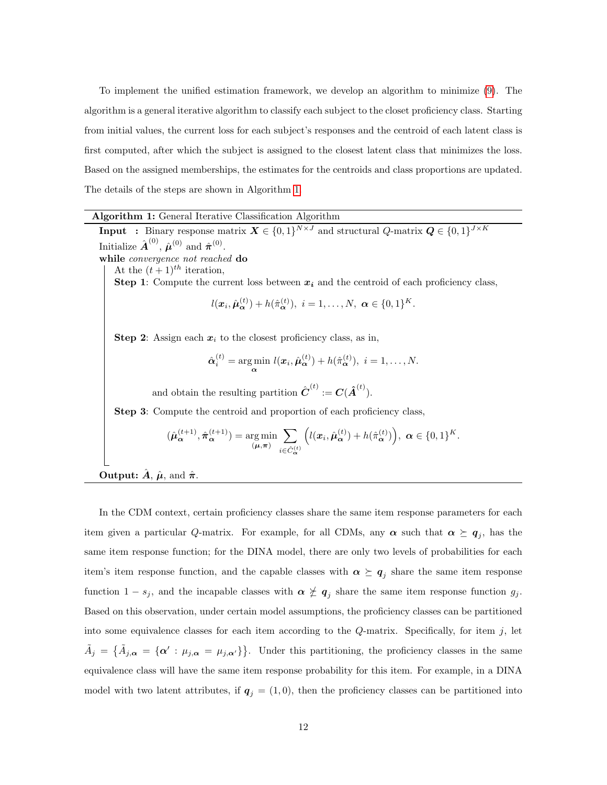To implement the unified estimation framework, we develop an algorithm to minimize [\(9\)](#page-10-0). The algorithm is a general iterative algorithm to classify each subject to the closet proficiency class. Starting from initial values, the current loss for each subject's responses and the centroid of each latent class is first computed, after which the subject is assigned to the closest latent class that minimizes the loss. Based on the assigned memberships, the estimates for the centroids and class proportions are updated. The details of the steps are shown in Algorithm [1.](#page-11-0)

#### Algorithm 1: General Iterative Classification Algorithm

<span id="page-11-0"></span>**Input** : Binary response matrix  $X \in \{0,1\}^{N \times J}$  and structural Q-matrix  $Q \in \{0,1\}^{J \times K}$ Initialize  $\hat{\boldsymbol{A}}^{(0)}$ ,  $\hat{\boldsymbol{\mu}}^{(0)}$  and  $\hat{\boldsymbol{\pi}}^{(0)}$ . while *convergence not reached* do At the  $(t+1)^{th}$  iteration, Step 1: Compute the current loss between  $x_i$  and the centroid of each proficiency class,  $l(\bm{x}_i, \hat{\bm{\mu}}_{\bm{\alpha}}^{(t)}) + h(\hat{\pi}_{\bm{\alpha}}^{(t)}), i = 1, \dots, N, \ \bm{\alpha} \in \{0, 1\}^K.$ Step 2: Assign each  $x_i$  to the closest proficiency class, as in,  $\hat{\boldsymbol{\alpha}}_i^{(t)} = \argmin_{\boldsymbol{\alpha}} l(\boldsymbol{x}_i, \hat{\boldsymbol{\mu}}_{\boldsymbol{\alpha}}^{(t)}) + h(\hat{\pi}_{\boldsymbol{\alpha}}^{(t)}), i = 1, \dots, N.$ and obtain the resulting partition  $\hat{\boldsymbol{C}}^{(t)} := \boldsymbol{C}(\hat{\boldsymbol{A}}^{(t)})$ . Step 3: Compute the centroid and proportion of each proficiency class,  $(\hat{\boldsymbol{\mu}}_{\boldsymbol{\alpha}}^{(t+1)}, \hat{\boldsymbol{\pi}}_{\boldsymbol{\alpha}}^{(t+1)}) = \argmin_{(\boldsymbol{\mu}, \boldsymbol{\pi})}$  $\sum$  $i \in \hat{C}_{\boldsymbol{\alpha}}^{(t)}$  $\left(l(\boldsymbol{x}_i, \hat{\boldsymbol{\mu}}_{\boldsymbol{\alpha}}^{(t)}) + h(\hat{\pi}_{\boldsymbol{\alpha}}^{(t)})\right), \ \boldsymbol{\alpha} \in \{0,1\}^K.$ 

**Output:**  $\hat{A}$ ,  $\hat{\mu}$ , and  $\hat{\pi}$ .

In the CDM context, certain proficiency classes share the same item response parameters for each item given a particular Q-matrix. For example, for all CDMs, any  $\alpha$  such that  $\alpha \succeq q_j$ , has the same item response function; for the DINA model, there are only two levels of probabilities for each item's item response function, and the capable classes with  $\alpha \succeq q_j$  share the same item response function  $1 - s_j$ , and the incapable classes with  $\alpha \not\leq q_j$  share the same item response function  $g_j$ . Based on this observation, under certain model assumptions, the proficiency classes can be partitioned into some equivalence classes for each item according to the  $Q$ -matrix. Specifically, for item  $j$ , let  $\tilde{A}_j = \{\tilde{A}_{j,\alpha} = \{\alpha': \mu_{j,\alpha} = \mu_{j,\alpha'}\}\}\.$  Under this partitioning, the proficiency classes in the same equivalence class will have the same item response probability for this item. For example, in a DINA model with two latent attributes, if  $q_j = (1, 0)$ , then the proficiency classes can be partitioned into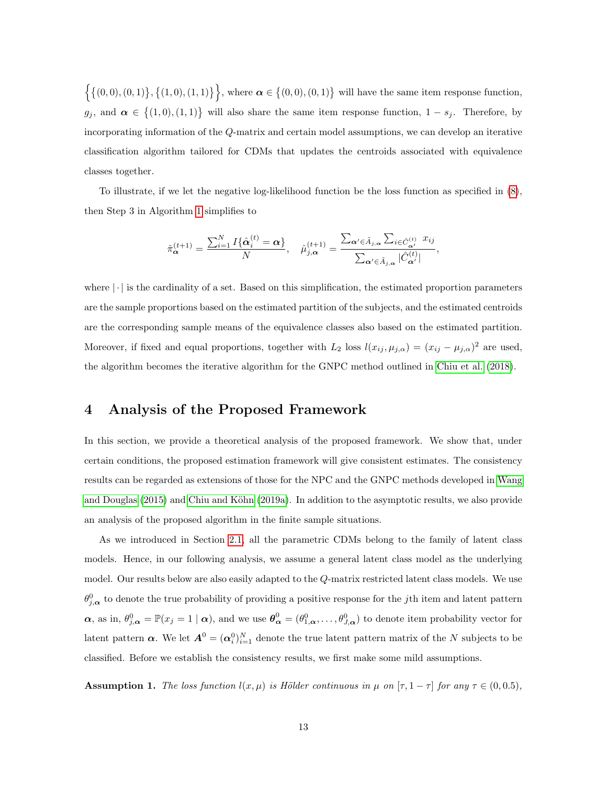$\{\{(0,0), (0,1)\}, \{(1,0), (1,1)\}\}\$ , where  $\alpha \in \{(0,0), (0,1)\}\$  will have the same item response function,  $g_j$ , and  $\alpha \in \{(1,0), (1,1)\}\$  will also share the same item response function,  $1 - s_j$ . Therefore, by incorporating information of the Q-matrix and certain model assumptions, we can develop an iterative classification algorithm tailored for CDMs that updates the centroids associated with equivalence classes together.

To illustrate, if we let the negative log-likelihood function be the loss function as specified in [\(8\)](#page-9-0), then Step 3 in Algorithm [1](#page-11-0) simplifies to

$$
\hat{\pi}_{\alpha}^{(t+1)} = \frac{\sum_{i=1}^{N} I\{\hat{\alpha}_{i}^{(t)} = \alpha\}}{N}, \quad \hat{\mu}_{j,\alpha}^{(t+1)} = \frac{\sum_{\alpha' \in \tilde{A}_{j,\alpha}} \sum_{i \in \hat{C}_{\alpha'}^{(t)}} x_{ij}}{\sum_{\alpha' \in \tilde{A}_{j,\alpha}} |\hat{C}_{\alpha'}^{(t)}|},
$$

where  $|\cdot|$  is the cardinality of a set. Based on this simplification, the estimated proportion parameters are the sample proportions based on the estimated partition of the subjects, and the estimated centroids are the corresponding sample means of the equivalence classes also based on the estimated partition. Moreover, if fixed and equal proportions, together with  $L_2$  loss  $l(x_{ij}, \mu_{j,\alpha}) = (x_{ij} - \mu_{j,\alpha})^2$  are used, the algorithm becomes the iterative algorithm for the GNPC method outlined in [Chiu et al.](#page-31-5) [\(2018\)](#page-31-5).

## <span id="page-12-0"></span>4 Analysis of the Proposed Framework

In this section, we provide a theoretical analysis of the proposed framework. We show that, under certain conditions, the proposed estimation framework will give consistent estimates. The consistency results can be regarded as extensions of those for the NPC and the GNPC methods developed in [Wang](#page-32-4) [and Douglas](#page-32-4) [\(2015\)](#page-32-4) and Chiu and Köhn [\(2019a\)](#page-30-1). In addition to the asymptotic results, we also provide an analysis of the proposed algorithm in the finite sample situations.

As we introduced in Section [2.1,](#page-2-1) all the parametric CDMs belong to the family of latent class models. Hence, in our following analysis, we assume a general latent class model as the underlying model. Our results below are also easily adapted to the Q-matrix restricted latent class models. We use  $\theta_{j,\alpha}^0$  to denote the true probability of providing a positive response for the jth item and latent pattern  $\alpha$ , as in,  $\theta_{j,\alpha}^0 = \mathbb{P}(x_j = 1 | \alpha)$ , and we use  $\theta_{\alpha}^0 = (\theta_{1,\alpha}^0, \ldots, \theta_{J,\alpha}^0)$  to denote item probability vector for latent pattern  $\alpha$ . We let  $A^0 = (\alpha_i^0)_{i=1}^N$  denote the true latent pattern matrix of the N subjects to be classified. Before we establish the consistency results, we first make some mild assumptions.

<span id="page-12-1"></span>**Assumption 1.** The loss function  $l(x, \mu)$  is Hölder continuous in  $\mu$  on  $[\tau, 1 - \tau]$  for any  $\tau \in (0, 0.5)$ ,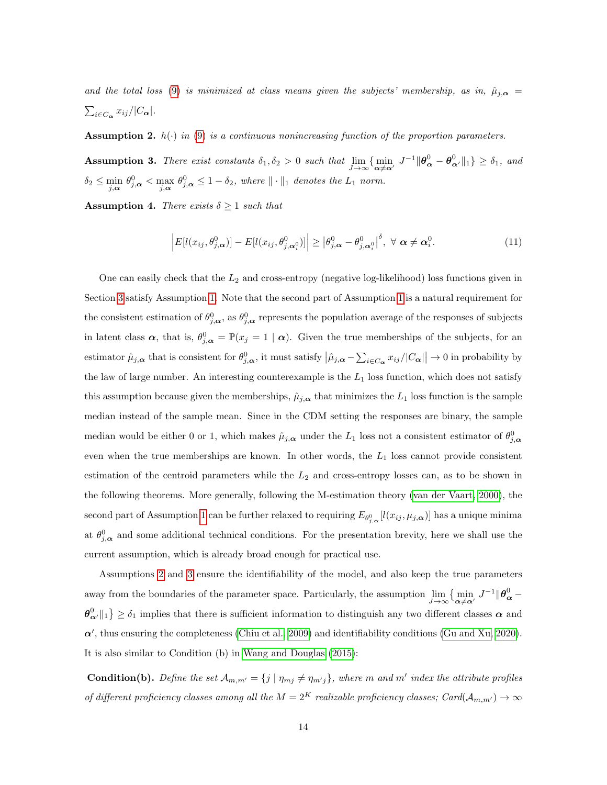and the total loss [\(9\)](#page-10-0) is minimized at class means given the subjects' membership, as in,  $\hat{\mu}_{j,\alpha} =$  $\sum_{i\in C_{\boldsymbol{\alpha}}} x_{ij}/|C_{\boldsymbol{\alpha}}|.$ 

<span id="page-13-0"></span>**Assumption 2.**  $h(\cdot)$  in [\(9\)](#page-10-0) is a continuous nonincreasing function of the proportion parameters.

<span id="page-13-1"></span>Assumption 3. There exist constants  $\delta_1, \delta_2 > 0$  such that  $\lim_{J \to \infty} {\lim_{\alpha \neq \alpha'} J^{-1} \|\theta^0_{\alpha} - \theta^0_{\alpha'} \|_1} \geq \delta_1$ , and  $\delta_2 \leq \min_{j,\alpha} \theta_{j,\alpha}^0 \leq \max_{j,\alpha} \theta_{j,\alpha}^0 \leq 1-\delta_2$ , where  $\|\cdot\|_1$  denotes the  $L_1$  norm.

<span id="page-13-3"></span>**Assumption 4.** There exists  $\delta \geq 1$  such that

<span id="page-13-2"></span>
$$
\left| E[l(x_{ij}, \theta_{j,\alpha}^0)] - E[l(x_{ij}, \theta_{j,\alpha_i^0}^0)] \right| \geq \left| \theta_{j,\alpha}^0 - \theta_{j,\alpha_i^0}^0 \right|^{\delta}, \ \forall \ \alpha \neq \alpha_i^0. \tag{11}
$$

One can easily check that the  $L_2$  and cross-entropy (negative log-likelihood) loss functions given in Section [3](#page-7-0) satisfy Assumption [1.](#page-12-1) Note that the second part of Assumption [1](#page-12-1) is a natural requirement for the consistent estimation of  $\theta_{j,\alpha}^0$ , as  $\theta_{j,\alpha}^0$  represents the population average of the responses of subjects in latent class  $\alpha$ , that is,  $\theta_{j,\alpha}^0 = \mathbb{P}(x_j = 1 | \alpha)$ . Given the true memberships of the subjects, for an estimator  $\hat{\mu}_{j,\alpha}$  that is consistent for  $\theta_{j,\alpha}^0$ , it must satisfy  $|\hat{\mu}_{j,\alpha} - \sum_{i \in C_{\alpha}} x_{ij}/|C_{\alpha}|| \to 0$  in probability by the law of large number. An interesting counterexample is the  $L_1$  loss function, which does not satisfy this assumption because given the memberships,  $\hat{\mu}_{j,\alpha}$  that minimizes the  $L_1$  loss function is the sample median instead of the sample mean. Since in the CDM setting the responses are binary, the sample median would be either 0 or 1, which makes  $\hat{\mu}_{j,\alpha}$  under the  $L_1$  loss not a consistent estimator of  $\theta_{j,\alpha}^0$ even when the true memberships are known. In other words, the  $L_1$  loss cannot provide consistent estimation of the centroid parameters while the  $L_2$  and cross-entropy losses can, as to be shown in the following theorems. More generally, following the M-estimation theory [\(van der Vaart, 2000\)](#page-32-6), the second part of Assumption [1](#page-12-1) can be further relaxed to requiring  $E_{\theta_{j,\alpha}^0}[l(x_{ij},\mu_{j,\alpha})]$  has a unique minima at  $\theta_{j,\alpha}^0$  and some additional technical conditions. For the presentation brevity, here we shall use the current assumption, which is already broad enough for practical use.

Assumptions [2](#page-13-0) and [3](#page-13-1) ensure the identifiability of the model, and also keep the true parameters away from the boundaries of the parameter space. Particularly, the assumption  $\lim_{J\to\infty} \{\min_{\alpha\neq \alpha'} J^{-1} \|\theta^0_{\alpha} \{\theta_{\alpha'}^0\|_1\} \ge \delta_1$  implies that there is sufficient information to distinguish any two different classes  $\alpha$  and  $\alpha'$ , thus ensuring the completeness [\(Chiu et al., 2009\)](#page-30-4) and identifiability conditions [\(Gu and Xu, 2020\)](#page-31-9). It is also similar to Condition (b) in [Wang and Douglas](#page-32-4) [\(2015\)](#page-32-4):

**Condition(b).** Define the set  $\mathcal{A}_{m,m'} = \{j | \eta_{mj} \neq \eta_{m'j}\}\$ , where m and m' index the attribute profiles of different proficiency classes among all the  $M = 2^K$  realizable proficiency classes;  $Card(\mathcal{A}_{m,m'}) \to \infty$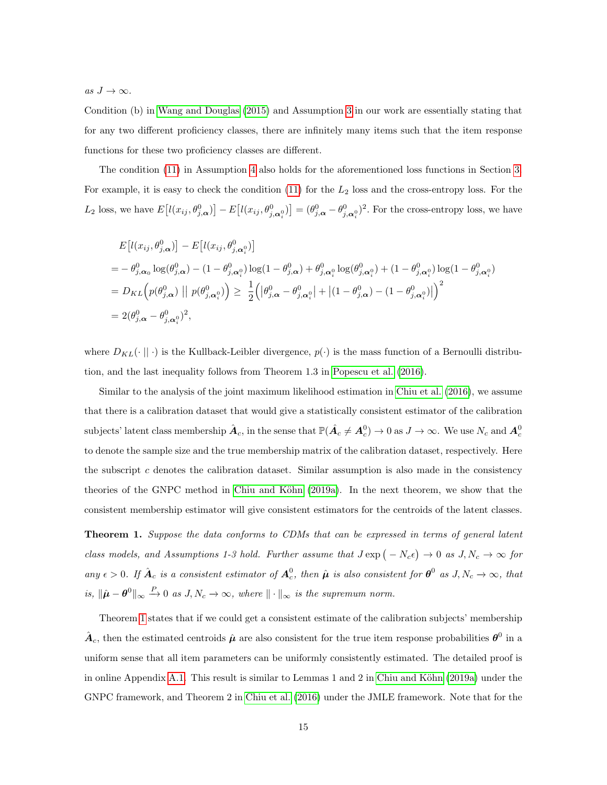as  $J \to \infty$ .

Condition (b) in [Wang and Douglas](#page-32-4) [\(2015\)](#page-32-4) and Assumption [3](#page-13-1) in our work are essentially stating that for any two different proficiency classes, there are infinitely many items such that the item response functions for these two proficiency classes are different.

The condition [\(11\)](#page-13-2) in Assumption [4](#page-13-3) also holds for the aforementioned loss functions in Section [3.](#page-7-0) For example, it is easy to check the condition  $(11)$  for the  $L_2$  loss and the cross-entropy loss. For the  $L_2$  loss, we have  $E\left[l(x_{ij}, \theta_{j,\alpha}^0)\right] - E\left[l(x_{ij}, \theta_{j,\alpha_i^0}^0)\right] = (\theta_{j,\alpha}^0 - \theta_{j,\alpha_i^0}^0)^2$ . For the cross-entropy loss, we have

$$
E\left[l(x_{ij}, \theta_{j,\alpha}^{0})\right] - E\left[l(x_{ij}, \theta_{j,\alpha_{i}}^{0})\right]
$$
\n
$$
= -\theta_{j,\alpha_{0}}^{0} \log(\theta_{j,\alpha}^{0}) - (1 - \theta_{j,\alpha_{i}}^{0}) \log(1 - \theta_{j,\alpha}^{0}) + \theta_{j,\alpha_{i}}^{0} \log(\theta_{j,\alpha_{i}}^{0}) + (1 - \theta_{j,\alpha_{i}}^{0}) \log(1 - \theta_{j,\alpha_{i}}^{0})
$$
\n
$$
= D_{KL}\left(p(\theta_{j,\alpha}^{0}) \mid p(\theta_{j,\alpha_{i}}^{0})\right) \geq \frac{1}{2} \left(|\theta_{j,\alpha}^{0} - \theta_{j,\alpha_{i}}^{0}| + |(1 - \theta_{j,\alpha}^{0}) - (1 - \theta_{j,\alpha_{i}}^{0})|\right)^{2}
$$
\n
$$
= 2(\theta_{j,\alpha}^{0} - \theta_{j,\alpha_{i}}^{0})^{2},
$$

where  $D_{KL}(\cdot \mid \mid \cdot)$  is the Kullback-Leibler divergence,  $p(\cdot)$  is the mass function of a Bernoulli distribution, and the last inequality follows from Theorem 1.3 in [Popescu et al.](#page-32-7) [\(2016\)](#page-32-7).

Similar to the analysis of the joint maximum likelihood estimation in [Chiu et al.](#page-31-3) [\(2016\)](#page-31-3), we assume that there is a calibration dataset that would give a statistically consistent estimator of the calibration subjects' latent class membership  $\hat{A}_c$ , in the sense that  $\mathbb{P}(\hat{A}_c \neq A_c^0) \to 0$  as  $J \to \infty$ . We use  $N_c$  and  $A_c^0$ to denote the sample size and the true membership matrix of the calibration dataset, respectively. Here the subscript c denotes the calibration dataset. Similar assumption is also made in the consistency theories of the GNPC method in Chiu and Köhn [\(2019a\)](#page-30-1). In the next theorem, we show that the consistent membership estimator will give consistent estimators for the centroids of the latent classes.

<span id="page-14-0"></span>Theorem 1. Suppose the data conforms to CDMs that can be expressed in terms of general latent class models, and Assumptions 1-3 hold. Further assume that  $J \exp(-N_c \epsilon) \to 0$  as  $J, N_c \to \infty$  for any  $\epsilon > 0$ . If  $\hat{A}_c$  is a consistent estimator of  $A_c^0$ , then  $\hat{\mu}$  is also consistent for  $\theta^0$  as  $J, N_c \to \infty$ , that is,  $\|\hat{\boldsymbol{\mu}} - \boldsymbol{\theta}^0\|_{\infty} \stackrel{P}{\rightarrow} 0$  as  $J, N_c \rightarrow \infty$ , where  $\|\cdot\|_{\infty}$  is the supremum norm.

Theorem [1](#page-14-0) states that if we could get a consistent estimate of the calibration subjects' membership  $\hat{A}_c$ , then the estimated centroids  $\hat{\mu}$  are also consistent for the true item response probabilities  $\theta^0$  in a uniform sense that all item parameters can be uniformly consistently estimated. The detailed proof is in online Appendix [A.1.](#page-34-0) This result is similar to Lemmas 1 and 2 in Chiu and Köhn [\(2019a\)](#page-30-1) under the GNPC framework, and Theorem 2 in [Chiu et al.](#page-31-3) [\(2016\)](#page-31-3) under the JMLE framework. Note that for the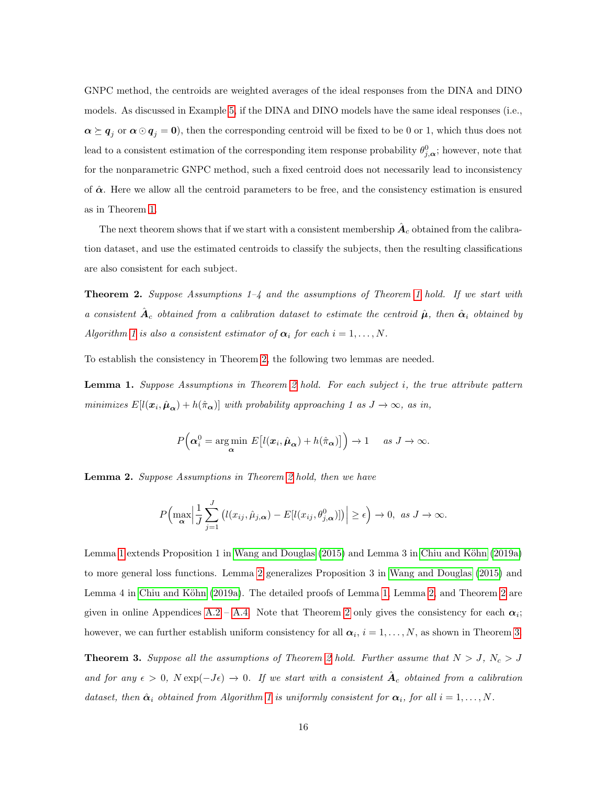GNPC method, the centroids are weighted averages of the ideal responses from the DINA and DINO models. As discussed in Example [5,](#page-8-2) if the DINA and DINO models have the same ideal responses (i.e.,  $\alpha \succeq q_j$  or  $\alpha \odot q_j = 0$ ), then the corresponding centroid will be fixed to be 0 or 1, which thus does not lead to a consistent estimation of the corresponding item response probability  $\theta_{j,\alpha}^0$ ; however, note that for the nonparametric GNPC method, such a fixed centroid does not necessarily lead to inconsistency of  $\hat{\alpha}$ . Here we allow all the centroid parameters to be free, and the consistency estimation is ensured as in Theorem [1.](#page-14-0)

The next theorem shows that if we start with a consistent membership  $\hat{A}_c$  obtained from the calibration dataset, and use the estimated centroids to classify the subjects, then the resulting classifications are also consistent for each subject.

<span id="page-15-0"></span>**Theorem 2.** Suppose Assumptions  $1-4$  and the assumptions of Theorem [1](#page-14-0) hold. If we start with a consistent  $\hat{A}_c$  obtained from a calibration dataset to estimate the centroid  $\hat{\mu}$ , then  $\hat{\alpha}_i$  obtained by Algorithm [1](#page-11-0) is also a consistent estimator of  $\alpha_i$  for each  $i = 1, \ldots, N$ .

To establish the consistency in Theorem [2,](#page-15-0) the following two lemmas are needed.

<span id="page-15-1"></span>Lemma 1. Suppose Assumptions in Theorem [2](#page-15-0) hold. For each subject i, the true attribute pattern minimizes  $E[l(\mathbf{x}_i, \hat{\boldsymbol{\mu}}_{\boldsymbol{\alpha}}) + h(\hat{\pi}_{\boldsymbol{\alpha}})]$  with probability approaching 1 as  $J \to \infty$ , as in,

$$
P\Big(\boldsymbol{\alpha}_i^0 = \underset{\boldsymbol{\alpha}}{\arg\min} \ E\big[l(\boldsymbol{x}_i,\hat{\boldsymbol{\mu}}_{\boldsymbol{\alpha}}) + h(\hat{\pi}_{\boldsymbol{\alpha}})\big]\Big) \to 1 \quad \text{ as } J \to \infty.
$$

<span id="page-15-2"></span>Lemma 2. Suppose Assumptions in Theorem [2](#page-15-0) hold, then we have

$$
P\Big(\max_{\alpha}\Big|\frac{1}{J}\sum_{j=1}^{J}\big(l(x_{ij},\hat{\mu}_{j,\alpha})-E[l(x_{ij},\theta_{j,\alpha}^0)]\big)\Big|\geq\epsilon\Big)\to 0,\ \text{as}\ J\to\infty.
$$

Lemma [1](#page-15-1) extends Proposition 1 in [Wang and Douglas](#page-32-4) [\(2015\)](#page-32-4) and Lemma 3 in Chiu and Köhn [\(2019a\)](#page-30-1) to more general loss functions. Lemma [2](#page-15-2) generalizes Proposition 3 in [Wang and Douglas](#page-32-4) [\(2015\)](#page-32-4) and Lemma 4 in Chiu and Köhn [\(2019a\)](#page-30-1). The detailed proofs of Lemma [1,](#page-15-1) Lemma [2,](#page-15-2) and Theorem [2](#page-15-0) are given in online Appendices [A.2](#page-35-0) – [A.4.](#page-39-0) Note that Theorem [2](#page-15-0) only gives the consistency for each  $\alpha_i$ ; however, we can further establish uniform consistency for all  $\alpha_i$ ,  $i = 1, ..., N$ , as shown in Theorem [3.](#page-15-3)

<span id="page-15-3"></span>**Theorem 3.** Suppose all the assumptions of Theorem [2](#page-15-0) hold. Further assume that  $N > J$ ,  $N_c > J$ and for any  $\epsilon > 0$ ,  $N \exp(-J\epsilon) \to 0$ . If we start with a consistent  $\hat{A}_c$  obtained from a calibration dataset, then  $\hat{\alpha}_i$  obtained from Algorithm [1](#page-11-0) is uniformly consistent for  $\alpha_i$ , for all  $i = 1, \ldots, N$ .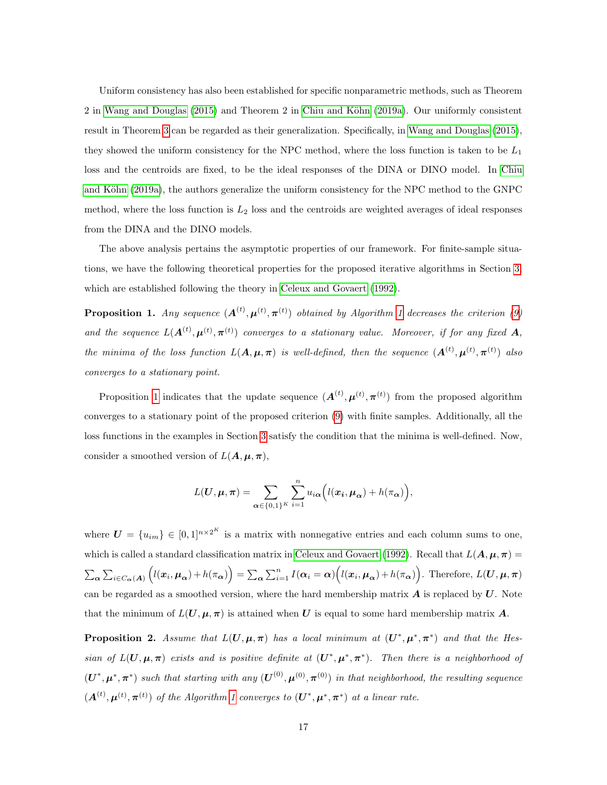Uniform consistency has also been established for specific nonparametric methods, such as Theorem 2 in [Wang and Douglas](#page-32-4) [\(2015\)](#page-32-4) and Theorem 2 in Chiu and Köhn [\(2019a\)](#page-30-1). Our uniformly consistent result in Theorem [3](#page-15-3) can be regarded as their generalization. Specifically, in [Wang and Douglas](#page-32-4) [\(2015\)](#page-32-4), they showed the uniform consistency for the NPC method, where the loss function is taken to be  $L_1$ loss and the centroids are fixed, to be the ideal responses of the DINA or DINO model. In [Chiu](#page-30-1) and Köhn [\(2019a\)](#page-30-1), the authors generalize the uniform consistency for the NPC method to the GNPC method, where the loss function is  $L_2$  loss and the centroids are weighted averages of ideal responses from the DINA and the DINO models.

The above analysis pertains the asymptotic properties of our framework. For finite-sample situations, we have the following theoretical properties for the proposed iterative algorithms in Section [3,](#page-7-0) which are established following the theory in [Celeux and Govaert](#page-30-3) [\(1992\)](#page-30-3).

<span id="page-16-0"></span>**Proposition [1](#page-11-0).** Any sequence  $(A^{(t)}, \mu^{(t)}, \pi^{(t)})$  obtained by Algorithm 1 decreases the criterion [\(9\)](#page-10-0) and the sequence  $L(\mathbf{A}^{(t)}, \boldsymbol{\mu}^{(t)}, \boldsymbol{\pi}^{(t)})$  converges to a stationary value. Moreover, if for any fixed  $\mathbf{A}$ , the minima of the loss function  $L(\mathbf{A}, \boldsymbol{\mu}, \boldsymbol{\pi})$  is well-defined, then the sequence  $(\mathbf{A}^{(t)}, \boldsymbol{\mu}^{(t)}, \boldsymbol{\pi}^{(t)})$  also converges to a stationary point.

Proposition [1](#page-16-0) indicates that the update sequence  $(A^{(t)}, \mu^{(t)}, \pi^{(t)})$  from the proposed algorithm converges to a stationary point of the proposed criterion [\(9\)](#page-10-0) with finite samples. Additionally, all the loss functions in the examples in Section [3](#page-7-0) satisfy the condition that the minima is well-defined. Now, consider a smoothed version of  $L(\mathbf{A}, \boldsymbol{\mu}, \boldsymbol{\pi}),$ 

$$
L(\boldsymbol{U}, \boldsymbol{\mu}, \boldsymbol{\pi}) = \sum_{\boldsymbol{\alpha} \in \{0,1\}^K} \sum_{i=1}^n u_{i\boldsymbol{\alpha}} \Big(l(\boldsymbol{x_i}, \boldsymbol{\mu_{\alpha}}) + h(\pi_{\boldsymbol{\alpha}})\Big),
$$

where  $\boldsymbol{U} = \{u_{im}\} \in [0,1]^{n \times 2^{K}}$  is a matrix with nonnegative entries and each column sums to one, which is called a standard classification matrix in [Celeux and Govaert](#page-30-3) [\(1992\)](#page-30-3). Recall that  $L(A, \mu, \pi)$  $\sum_{\alpha} \sum_{i \in C_{\alpha}(A)} \left( l(x_i, \mu_{\alpha}) + h(\pi_{\alpha}) \right) = \sum_{\alpha} \sum_{i=1}^{n} I(\alpha_i = \alpha) \left( l(x_i, \mu_{\alpha}) + h(\pi_{\alpha}) \right)$ . Therefore,  $L(U, \mu, \pi)$ can be regarded as a smoothed version, where the hard membership matrix  $\bm{A}$  is replaced by  $\bm{U}$ . Note that the minimum of  $L(U, \mu, \pi)$  is attained when U is equal to some hard membership matrix A.

<span id="page-16-1"></span>**Proposition 2.** Assume that  $L(U, \mu, \pi)$  has a local minimum at  $(U^*, \mu^*, \pi^*)$  and that the Hessian of  $L(U, \mu, \pi)$  exists and is positive definite at  $(U^*, \mu^*, \pi^*)$ . Then there is a neighborhood of  $(\boldsymbol{U}^*, \boldsymbol{\mu}^*, \boldsymbol{\pi}^*)$  such that starting with any  $(\boldsymbol{U}^{(0)}, \boldsymbol{\mu}^{(0)}, \boldsymbol{\pi}^{(0)})$  in that neighborhood, the resulting sequence  $(\mathbf{A}^{(t)}, \boldsymbol{\mu}^{(t)}, \boldsymbol{\pi}^{(t)})$  of the Algorithm [1](#page-11-0) converges to  $(\mathbf{U}^*, \boldsymbol{\mu}^*, \boldsymbol{\pi}^*)$  at a linear rate.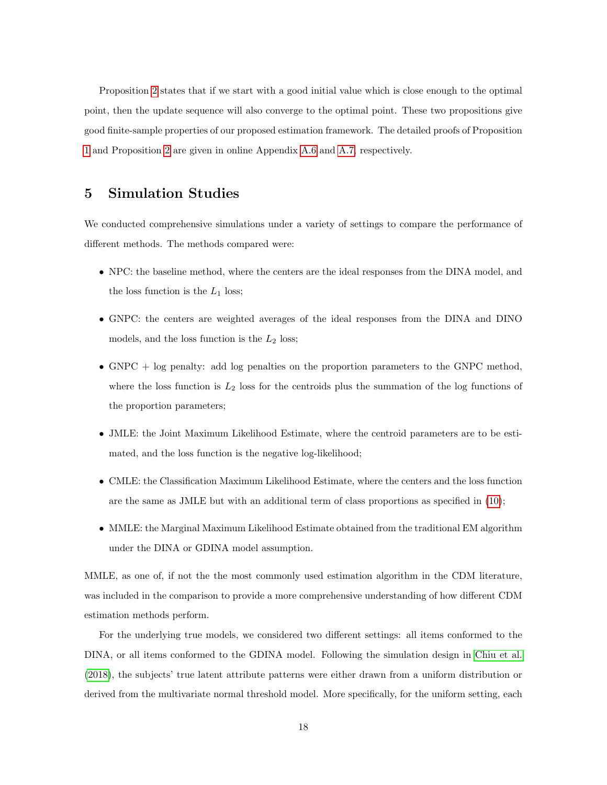Proposition [2](#page-16-1) states that if we start with a good initial value which is close enough to the optimal point, then the update sequence will also converge to the optimal point. These two propositions give good finite-sample properties of our proposed estimation framework. The detailed proofs of Proposition [1](#page-16-0) and Proposition [2](#page-16-1) are given in online Appendix [A.6](#page-41-0) and [A.7,](#page-42-0) respectively.

## <span id="page-17-0"></span>5 Simulation Studies

We conducted comprehensive simulations under a variety of settings to compare the performance of different methods. The methods compared were:

- NPC: the baseline method, where the centers are the ideal responses from the DINA model, and the loss function is the  $L_1$  loss;
- GNPC: the centers are weighted averages of the ideal responses from the DINA and DINO models, and the loss function is the  $L_2$  loss;
- GNPC  $+$  log penalty: add log penalties on the proportion parameters to the GNPC method, where the loss function is  $L_2$  loss for the centroids plus the summation of the log functions of the proportion parameters;
- JMLE: the Joint Maximum Likelihood Estimate, where the centroid parameters are to be estimated, and the loss function is the negative log-likelihood;
- CMLE: the Classification Maximum Likelihood Estimate, where the centers and the loss function are the same as JMLE but with an additional term of class proportions as specified in [\(10\)](#page-10-1);
- MMLE: the Marginal Maximum Likelihood Estimate obtained from the traditional EM algorithm under the DINA or GDINA model assumption.

MMLE, as one of, if not the the most commonly used estimation algorithm in the CDM literature, was included in the comparison to provide a more comprehensive understanding of how different CDM estimation methods perform.

For the underlying true models, we considered two different settings: all items conformed to the DINA, or all items conformed to the GDINA model. Following the simulation design in [Chiu et al.](#page-31-5) [\(2018\)](#page-31-5), the subjects' true latent attribute patterns were either drawn from a uniform distribution or derived from the multivariate normal threshold model. More specifically, for the uniform setting, each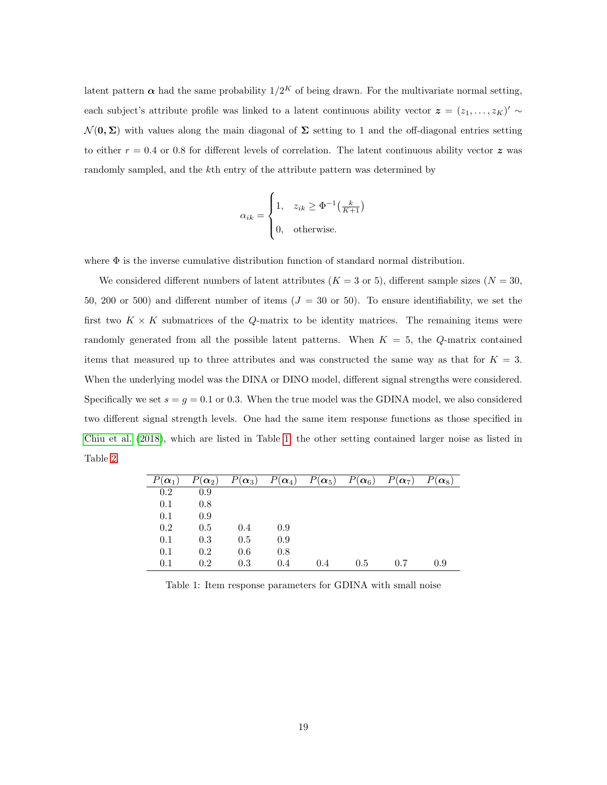latent pattern  $\alpha$  had the same probability  $1/2<sup>K</sup>$  of being drawn. For the multivariate normal setting, each subject's attribute profile was linked to a latent continuous ability vector  $\boldsymbol{z} = (z_1, \ldots, z_K)' \sim$  $\mathcal{N}(\mathbf{0}, \Sigma)$  with values along the main diagonal of  $\Sigma$  setting to 1 and the off-diagonal entries setting to either  $r = 0.4$  or 0.8 for different levels of correlation. The latent continuous ability vector z was randomly sampled, and the kth entry of the attribute pattern was determined by

$$
\alpha_{ik} = \begin{cases} 1, & z_{ik} \ge \Phi^{-1}\left(\frac{k}{K+1}\right) \\ 0, & \text{otherwise.} \end{cases}
$$

where  $\Phi$  is the inverse cumulative distribution function of standard normal distribution.

We considered different numbers of latent attributes ( $K = 3$  or 5), different sample sizes ( $N = 30$ , 50, 200 or 500) and different number of items  $(J = 30 \text{ or } 50)$ . To ensure identifiability, we set the first two  $K \times K$  submatrices of the Q-matrix to be identity matrices. The remaining items were randomly generated from all the possible latent patterns. When  $K = 5$ , the Q-matrix contained items that measured up to three attributes and was constructed the same way as that for  $K = 3$ . When the underlying model was the DINA or DINO model, different signal strengths were considered. Specifically we set  $s = g = 0.1$  or 0.3. When the true model was the GDINA model, we also considered two different signal strength levels. One had the same item response functions as those specified in [Chiu et al.](#page-31-5) [\(2018\)](#page-31-5), which are listed in Table [1;](#page-18-0) the other setting contained larger noise as listed in Table [2.](#page-19-0)

| $P(\boldsymbol{\alpha}_1)$ | $P(\boldsymbol{\alpha}_2)$ |     | $P(\boldsymbol{\alpha}_3)$ $P(\boldsymbol{\alpha}_4)$ $P(\boldsymbol{\alpha}_5)$ $P(\boldsymbol{\alpha}_6)$ |     |     | $P(\boldsymbol{\alpha}_7)$ | $P(\alpha_8)$ |
|----------------------------|----------------------------|-----|-------------------------------------------------------------------------------------------------------------|-----|-----|----------------------------|---------------|
| 0.2                        | 0.9                        |     |                                                                                                             |     |     |                            |               |
| 0.1                        | 0.8                        |     |                                                                                                             |     |     |                            |               |
| 0.1                        | 0.9                        |     |                                                                                                             |     |     |                            |               |
| 0.2                        | 0.5                        | 0.4 | 0.9                                                                                                         |     |     |                            |               |
| 0.1                        | 0.3                        | 0.5 | 0.9                                                                                                         |     |     |                            |               |
| 0.1                        | 0.2                        | 0.6 | 0.8                                                                                                         |     |     |                            |               |
| 0.1                        | 0.2                        | 0.3 | 0.4                                                                                                         | 0.4 | 0.5 | 0.7                        | 0.9           |

<span id="page-18-0"></span>Table 1: Item response parameters for GDINA with small noise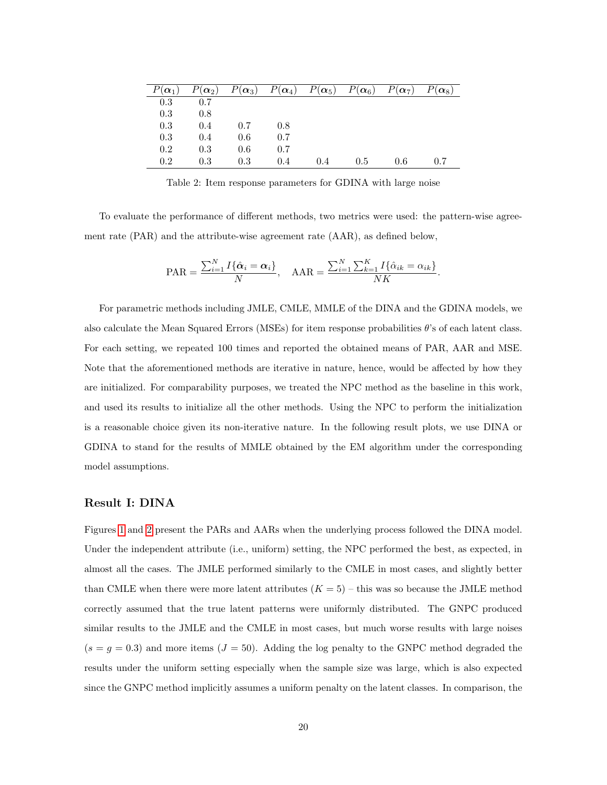| $P(\boldsymbol{\alpha}_1)$ |     |     |     |     | $P(\boldsymbol{\alpha}_2)$ $P(\boldsymbol{\alpha}_3)$ $P(\boldsymbol{\alpha}_4)$ $P(\boldsymbol{\alpha}_5)$ $P(\boldsymbol{\alpha}_6)$ $P(\boldsymbol{\alpha}_7)$ |     | $P(\alpha_8)$ |
|----------------------------|-----|-----|-----|-----|-------------------------------------------------------------------------------------------------------------------------------------------------------------------|-----|---------------|
| 0.3                        | 0.7 |     |     |     |                                                                                                                                                                   |     |               |
| 0.3                        | 0.8 |     |     |     |                                                                                                                                                                   |     |               |
| 0.3                        | 0.4 | 0.7 | 0.8 |     |                                                                                                                                                                   |     |               |
| 0.3                        | 0.4 | 0.6 | 0.7 |     |                                                                                                                                                                   |     |               |
| 0.2                        | 0.3 | 0.6 | 0.7 |     |                                                                                                                                                                   |     |               |
| 0.2                        | 0.3 | 0.3 | 0.4 | 0.4 | 0.5                                                                                                                                                               | 0.6 | 0.7           |

<span id="page-19-0"></span>Table 2: Item response parameters for GDINA with large noise

To evaluate the performance of different methods, two metrics were used: the pattern-wise agreement rate (PAR) and the attribute-wise agreement rate (AAR), as defined below,

$$
PAR = \frac{\sum_{i=1}^{N} I\{\hat{\alpha}_i = \alpha_i\}}{N}, \quad \text{AAR} = \frac{\sum_{i=1}^{N} \sum_{k=1}^{K} I\{\hat{\alpha}_{ik} = \alpha_{ik}\}}{NK}.
$$

For parametric methods including JMLE, CMLE, MMLE of the DINA and the GDINA models, we also calculate the Mean Squared Errors (MSEs) for item response probabilities  $\theta$ 's of each latent class. For each setting, we repeated 100 times and reported the obtained means of PAR, AAR and MSE. Note that the aforementioned methods are iterative in nature, hence, would be affected by how they are initialized. For comparability purposes, we treated the NPC method as the baseline in this work, and used its results to initialize all the other methods. Using the NPC to perform the initialization is a reasonable choice given its non-iterative nature. In the following result plots, we use DINA or GDINA to stand for the results of MMLE obtained by the EM algorithm under the corresponding model assumptions.

#### Result I: DINA

Figures [1](#page-23-0) and [2](#page-24-0) present the PARs and AARs when the underlying process followed the DINA model. Under the independent attribute (i.e., uniform) setting, the NPC performed the best, as expected, in almost all the cases. The JMLE performed similarly to the CMLE in most cases, and slightly better than CMLE when there were more latent attributes  $(K = 5)$  – this was so because the JMLE method correctly assumed that the true latent patterns were uniformly distributed. The GNPC produced similar results to the JMLE and the CMLE in most cases, but much worse results with large noises  $(s = g = 0.3)$  and more items  $(J = 50)$ . Adding the log penalty to the GNPC method degraded the results under the uniform setting especially when the sample size was large, which is also expected since the GNPC method implicitly assumes a uniform penalty on the latent classes. In comparison, the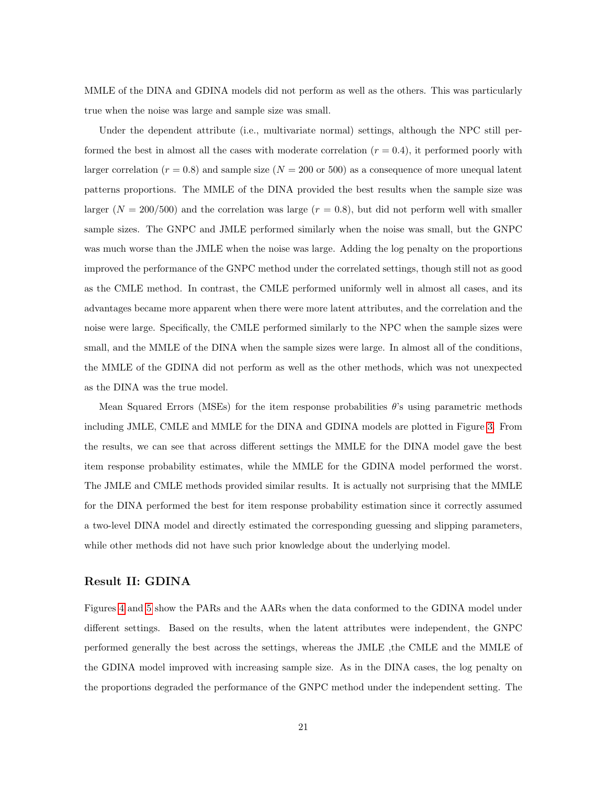MMLE of the DINA and GDINA models did not perform as well as the others. This was particularly true when the noise was large and sample size was small.

Under the dependent attribute (i.e., multivariate normal) settings, although the NPC still performed the best in almost all the cases with moderate correlation  $(r = 0.4)$ , it performed poorly with larger correlation ( $r = 0.8$ ) and sample size ( $N = 200$  or 500) as a consequence of more unequal latent patterns proportions. The MMLE of the DINA provided the best results when the sample size was larger ( $N = 200/500$ ) and the correlation was large ( $r = 0.8$ ), but did not perform well with smaller sample sizes. The GNPC and JMLE performed similarly when the noise was small, but the GNPC was much worse than the JMLE when the noise was large. Adding the log penalty on the proportions improved the performance of the GNPC method under the correlated settings, though still not as good as the CMLE method. In contrast, the CMLE performed uniformly well in almost all cases, and its advantages became more apparent when there were more latent attributes, and the correlation and the noise were large. Specifically, the CMLE performed similarly to the NPC when the sample sizes were small, and the MMLE of the DINA when the sample sizes were large. In almost all of the conditions, the MMLE of the GDINA did not perform as well as the other methods, which was not unexpected as the DINA was the true model.

Mean Squared Errors (MSEs) for the item response probabilities  $\theta$ 's using parametric methods including JMLE, CMLE and MMLE for the DINA and GDINA models are plotted in Figure [3.](#page-25-0) From the results, we can see that across different settings the MMLE for the DINA model gave the best item response probability estimates, while the MMLE for the GDINA model performed the worst. The JMLE and CMLE methods provided similar results. It is actually not surprising that the MMLE for the DINA performed the best for item response probability estimation since it correctly assumed a two-level DINA model and directly estimated the corresponding guessing and slipping parameters, while other methods did not have such prior knowledge about the underlying model.

#### Result II: GDINA

Figures [4](#page-26-0) and [5](#page-27-0) show the PARs and the AARs when the data conformed to the GDINA model under different settings. Based on the results, when the latent attributes were independent, the GNPC performed generally the best across the settings, whereas the JMLE ,the CMLE and the MMLE of the GDINA model improved with increasing sample size. As in the DINA cases, the log penalty on the proportions degraded the performance of the GNPC method under the independent setting. The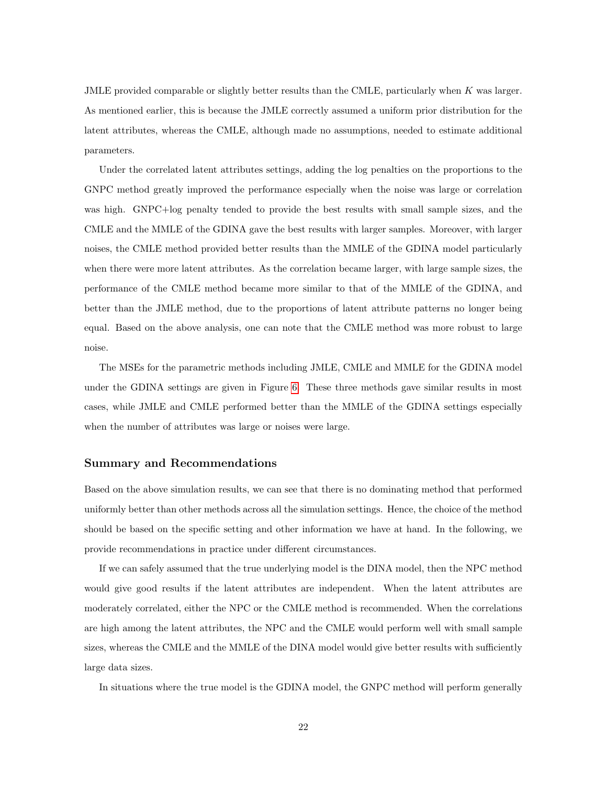JMLE provided comparable or slightly better results than the CMLE, particularly when K was larger. As mentioned earlier, this is because the JMLE correctly assumed a uniform prior distribution for the latent attributes, whereas the CMLE, although made no assumptions, needed to estimate additional parameters.

Under the correlated latent attributes settings, adding the log penalties on the proportions to the GNPC method greatly improved the performance especially when the noise was large or correlation was high. GNPC+log penalty tended to provide the best results with small sample sizes, and the CMLE and the MMLE of the GDINA gave the best results with larger samples. Moreover, with larger noises, the CMLE method provided better results than the MMLE of the GDINA model particularly when there were more latent attributes. As the correlation became larger, with large sample sizes, the performance of the CMLE method became more similar to that of the MMLE of the GDINA, and better than the JMLE method, due to the proportions of latent attribute patterns no longer being equal. Based on the above analysis, one can note that the CMLE method was more robust to large noise.

The MSEs for the parametric methods including JMLE, CMLE and MMLE for the GDINA model under the GDINA settings are given in Figure [6.](#page-28-0) These three methods gave similar results in most cases, while JMLE and CMLE performed better than the MMLE of the GDINA settings especially when the number of attributes was large or noises were large.

#### Summary and Recommendations

Based on the above simulation results, we can see that there is no dominating method that performed uniformly better than other methods across all the simulation settings. Hence, the choice of the method should be based on the specific setting and other information we have at hand. In the following, we provide recommendations in practice under different circumstances.

If we can safely assumed that the true underlying model is the DINA model, then the NPC method would give good results if the latent attributes are independent. When the latent attributes are moderately correlated, either the NPC or the CMLE method is recommended. When the correlations are high among the latent attributes, the NPC and the CMLE would perform well with small sample sizes, whereas the CMLE and the MMLE of the DINA model would give better results with sufficiently large data sizes.

In situations where the true model is the GDINA model, the GNPC method will perform generally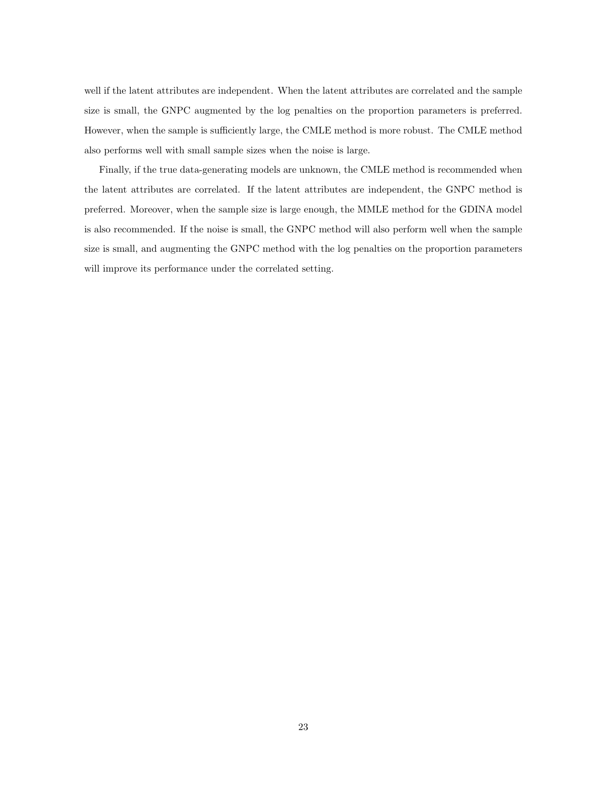well if the latent attributes are independent. When the latent attributes are correlated and the sample size is small, the GNPC augmented by the log penalties on the proportion parameters is preferred. However, when the sample is sufficiently large, the CMLE method is more robust. The CMLE method also performs well with small sample sizes when the noise is large.

Finally, if the true data-generating models are unknown, the CMLE method is recommended when the latent attributes are correlated. If the latent attributes are independent, the GNPC method is preferred. Moreover, when the sample size is large enough, the MMLE method for the GDINA model is also recommended. If the noise is small, the GNPC method will also perform well when the sample size is small, and augmenting the GNPC method with the log penalties on the proportion parameters will improve its performance under the correlated setting.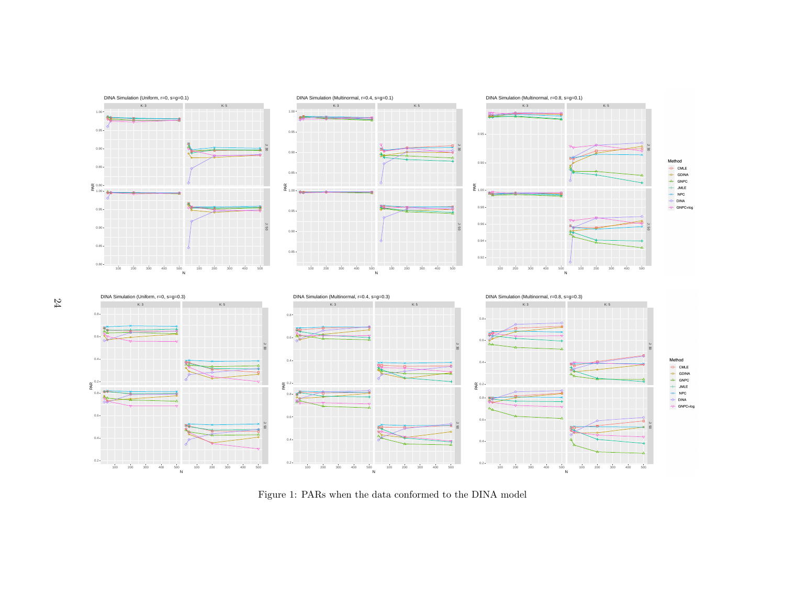<span id="page-23-0"></span>

Figure 1: PARs when the data conformed to the DINA model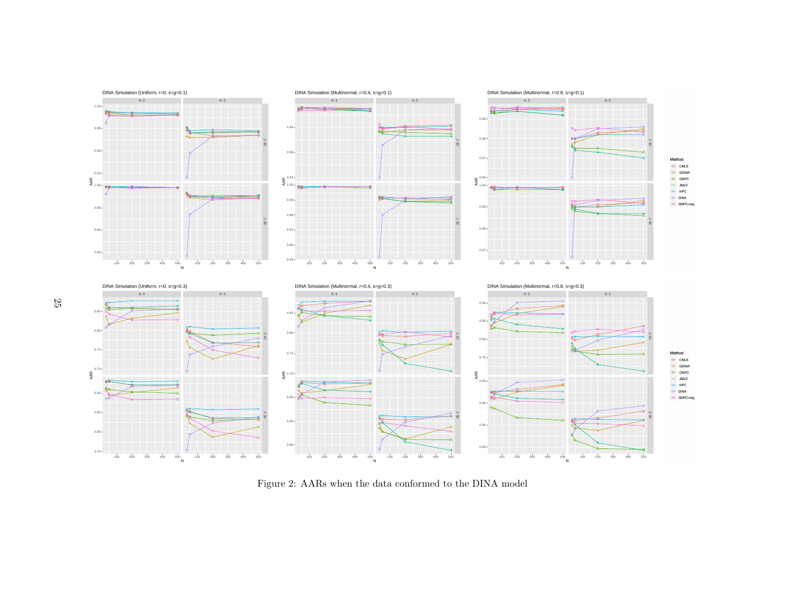<span id="page-24-0"></span>

Figure 2: AARs when the data conformed to the DINA model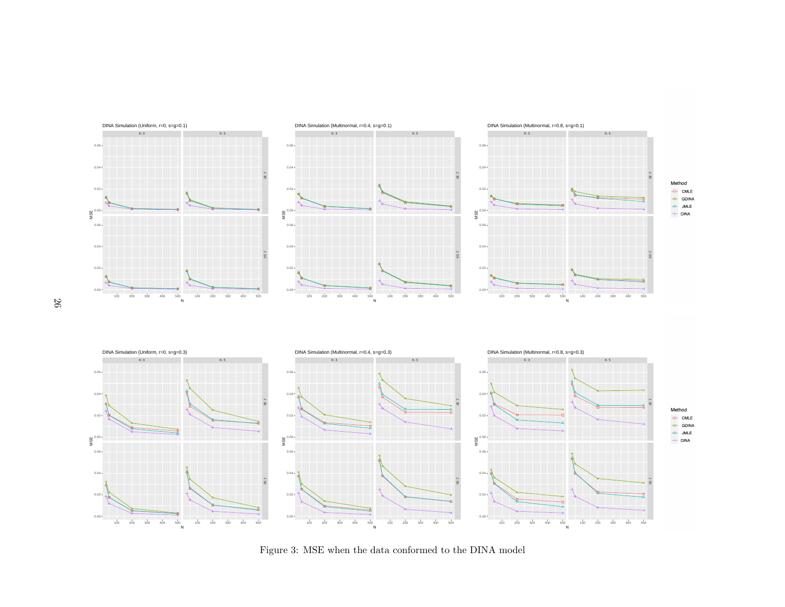<span id="page-25-0"></span>

Figure 3: MSE when the data conformed to the DINA model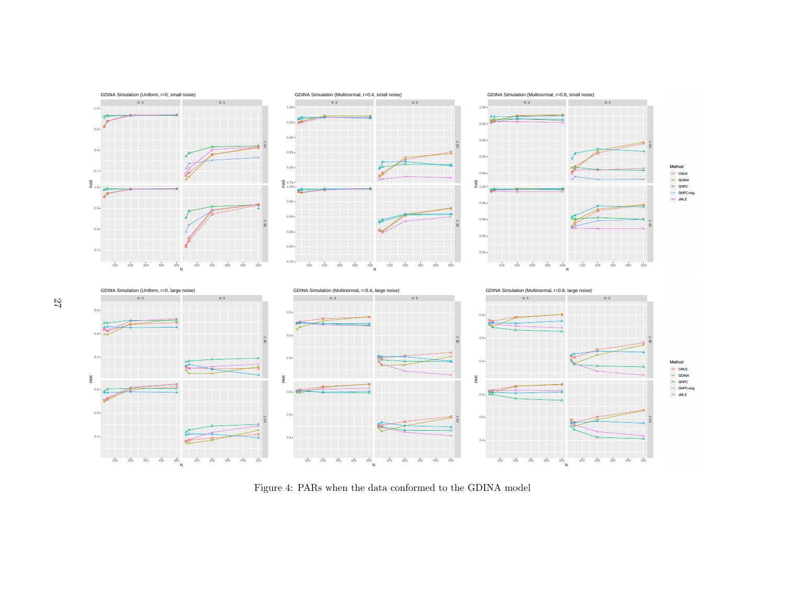<span id="page-26-0"></span>

Figure 4: PARs when the data conformed to the GDINA model

27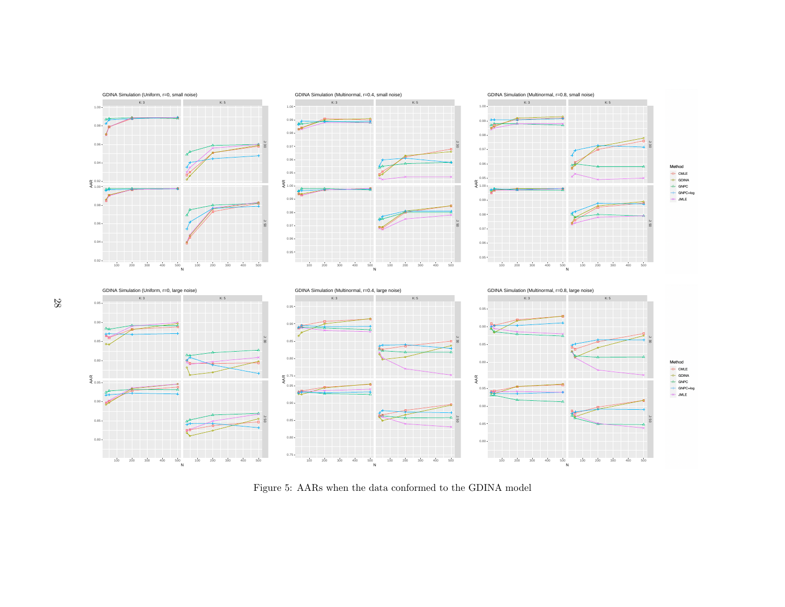<span id="page-27-0"></span>

Figure 5: AARs when the data conformed to the GDINA model

28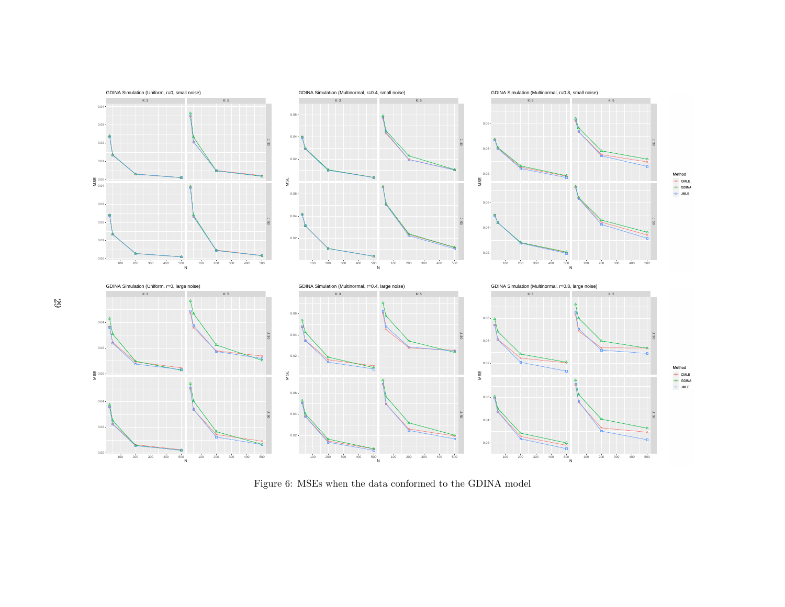<span id="page-28-0"></span>

Figure 6: MSEs when the data conformed to the GDINA model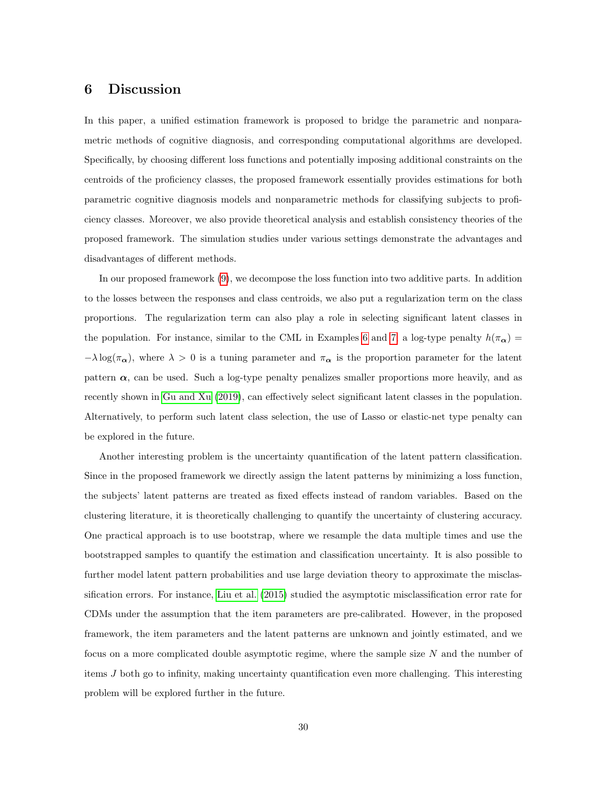## 6 Discussion

In this paper, a unified estimation framework is proposed to bridge the parametric and nonparametric methods of cognitive diagnosis, and corresponding computational algorithms are developed. Specifically, by choosing different loss functions and potentially imposing additional constraints on the centroids of the proficiency classes, the proposed framework essentially provides estimations for both parametric cognitive diagnosis models and nonparametric methods for classifying subjects to proficiency classes. Moreover, we also provide theoretical analysis and establish consistency theories of the proposed framework. The simulation studies under various settings demonstrate the advantages and disadvantages of different methods.

In our proposed framework [\(9\)](#page-10-0), we decompose the loss function into two additive parts. In addition to the losses between the responses and class centroids, we also put a regularization term on the class proportions. The regularization term can also play a role in selecting significant latent classes in the population. For instance, similar to the CML in Examples [6](#page-9-0) and [7,](#page-9-1) a log-type penalty  $h(\pi_{\alpha}) =$  $-\lambda \log(\pi_{\alpha})$ , where  $\lambda > 0$  is a tuning parameter and  $\pi_{\alpha}$  is the proportion parameter for the latent pattern  $\alpha$ , can be used. Such a log-type penalty penalizes smaller proportions more heavily, and as recently shown in [Gu and Xu](#page-31-10) [\(2019\)](#page-31-10), can effectively select significant latent classes in the population. Alternatively, to perform such latent class selection, the use of Lasso or elastic-net type penalty can be explored in the future.

Another interesting problem is the uncertainty quantification of the latent pattern classification. Since in the proposed framework we directly assign the latent patterns by minimizing a loss function, the subjects' latent patterns are treated as fixed effects instead of random variables. Based on the clustering literature, it is theoretically challenging to quantify the uncertainty of clustering accuracy. One practical approach is to use bootstrap, where we resample the data multiple times and use the bootstrapped samples to quantify the estimation and classification uncertainty. It is also possible to further model latent pattern probabilities and use large deviation theory to approximate the misclassification errors. For instance, [Liu et al.](#page-32-8) [\(2015\)](#page-32-8) studied the asymptotic misclassification error rate for CDMs under the assumption that the item parameters are pre-calibrated. However, in the proposed framework, the item parameters and the latent patterns are unknown and jointly estimated, and we focus on a more complicated double asymptotic regime, where the sample size N and the number of items J both go to infinity, making uncertainty quantification even more challenging. This interesting problem will be explored further in the future.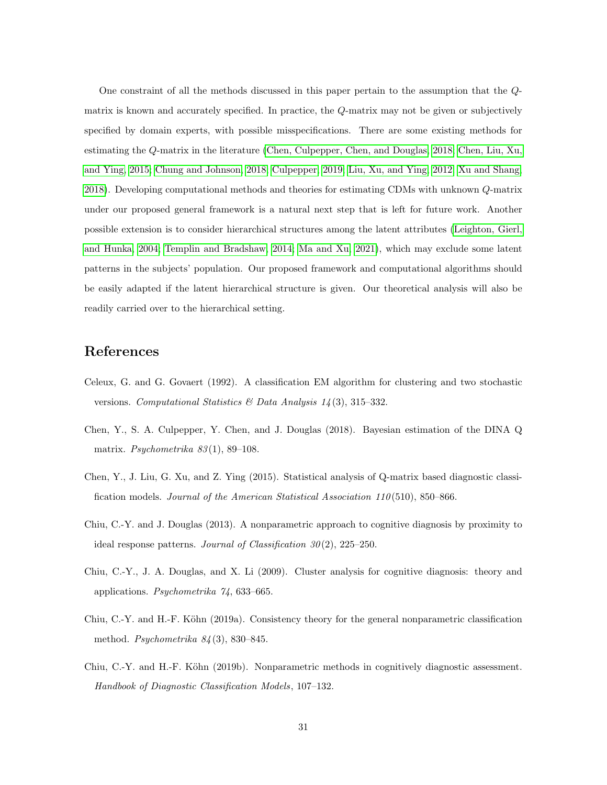One constraint of all the methods discussed in this paper pertain to the assumption that the Qmatrix is known and accurately specified. In practice, the Q-matrix may not be given or subjectively specified by domain experts, with possible misspecifications. There are some existing methods for estimating the Q-matrix in the literature [\(Chen, Culpepper, Chen, and Douglas, 2018;](#page-30-5) [Chen, Liu, Xu,](#page-30-6) [and Ying, 2015;](#page-30-6) [Chung and Johnson, 2018;](#page-31-11) [Culpepper, 2019;](#page-31-12) [Liu, Xu, and Ying, 2012;](#page-32-9) [Xu and Shang,](#page-33-1) [2018\)](#page-33-1). Developing computational methods and theories for estimating CDMs with unknown Q-matrix under our proposed general framework is a natural next step that is left for future work. Another possible extension is to consider hierarchical structures among the latent attributes [\(Leighton, Gierl,](#page-32-10) [and Hunka, 2004;](#page-32-10) [Templin and Bradshaw, 2014;](#page-32-11) [Ma and Xu, 2021\)](#page-32-12), which may exclude some latent patterns in the subjects' population. Our proposed framework and computational algorithms should be easily adapted if the latent hierarchical structure is given. Our theoretical analysis will also be readily carried over to the hierarchical setting.

## References

- <span id="page-30-3"></span>Celeux, G. and G. Govaert (1992). A classification EM algorithm for clustering and two stochastic versions. Computational Statistics & Data Analysis  $1/4$  (3), 315–332.
- <span id="page-30-5"></span>Chen, Y., S. A. Culpepper, Y. Chen, and J. Douglas (2018). Bayesian estimation of the DINA Q matrix. *Psychometrika*  $83(1)$ , 89–108.
- <span id="page-30-6"></span>Chen, Y., J. Liu, G. Xu, and Z. Ying (2015). Statistical analysis of Q-matrix based diagnostic classification models. Journal of the American Statistical Association 110 (510), 850–866.
- <span id="page-30-0"></span>Chiu, C.-Y. and J. Douglas (2013). A nonparametric approach to cognitive diagnosis by proximity to ideal response patterns. Journal of Classification  $30(2)$ ,  $225-250$ .
- <span id="page-30-4"></span>Chiu, C.-Y., J. A. Douglas, and X. Li (2009). Cluster analysis for cognitive diagnosis: theory and applications. Psychometrika 74, 633–665.
- <span id="page-30-1"></span>Chiu, C.-Y. and H.-F. Köhn (2019a). Consistency theory for the general nonparametric classification method. Psychometrika  $84(3)$ , 830–845.
- <span id="page-30-2"></span>Chiu, C.-Y. and H.-F. Köhn (2019b). Nonparametric methods in cognitively diagnostic assessment. Handbook of Diagnostic Classification Models, 107–132.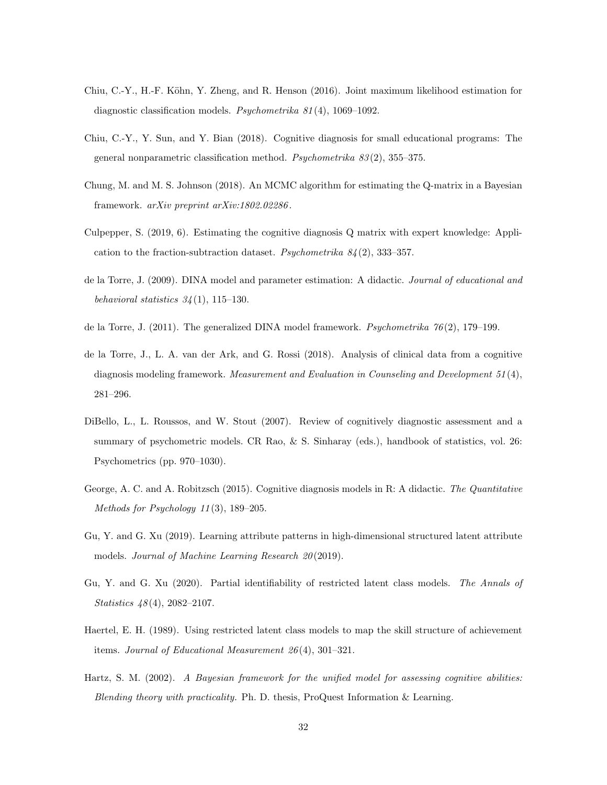- <span id="page-31-3"></span>Chiu, C.-Y., H.-F. Köhn, Y. Zheng, and R. Henson (2016). Joint maximum likelihood estimation for diagnostic classification models. Psychometrika 81 (4), 1069–1092.
- <span id="page-31-5"></span>Chiu, C.-Y., Y. Sun, and Y. Bian (2018). Cognitive diagnosis for small educational programs: The general nonparametric classification method. Psychometrika 83 (2), 355–375.
- <span id="page-31-11"></span>Chung, M. and M. S. Johnson (2018). An MCMC algorithm for estimating the Q-matrix in a Bayesian framework. arXiv preprint arXiv:1802.02286 .
- <span id="page-31-12"></span>Culpepper, S. (2019, 6). Estimating the cognitive diagnosis Q matrix with expert knowledge: Application to the fraction-subtraction dataset. Psychometrika  $84(2)$ , 333–357.
- <span id="page-31-4"></span>de la Torre, J. (2009). DINA model and parameter estimation: A didactic. Journal of educational and behavioral statistics  $34(1)$ , 115-130.
- <span id="page-31-0"></span>de la Torre, J. (2011). The generalized DINA model framework. Psychometrika  $76(2)$ , 179–199.
- <span id="page-31-1"></span>de la Torre, J., L. A. van der Ark, and G. Rossi (2018). Analysis of clinical data from a cognitive diagnosis modeling framework. Measurement and Evaluation in Counseling and Development 51 (4), 281–296.
- <span id="page-31-8"></span>DiBello, L., L. Roussos, and W. Stout (2007). Review of cognitively diagnostic assessment and a summary of psychometric models. CR Rao, & S. Sinharay (eds.), handbook of statistics, vol. 26: Psychometrics (pp. 970–1030).
- <span id="page-31-6"></span>George, A. C. and A. Robitzsch (2015). Cognitive diagnosis models in R: A didactic. The Quantitative Methods for Psychology 11 (3), 189–205.
- <span id="page-31-10"></span>Gu, Y. and G. Xu (2019). Learning attribute patterns in high-dimensional structured latent attribute models. Journal of Machine Learning Research 20 (2019).
- <span id="page-31-9"></span>Gu, Y. and G. Xu (2020). Partial identifiability of restricted latent class models. The Annals of Statistics 48 (4), 2082–2107.
- <span id="page-31-7"></span>Haertel, E. H. (1989). Using restricted latent class models to map the skill structure of achievement items. Journal of Educational Measurement 26 (4), 301–321.
- <span id="page-31-2"></span>Hartz, S. M. (2002). A Bayesian framework for the unified model for assessing cognitive abilities: Blending theory with practicality. Ph. D. thesis, ProQuest Information & Learning.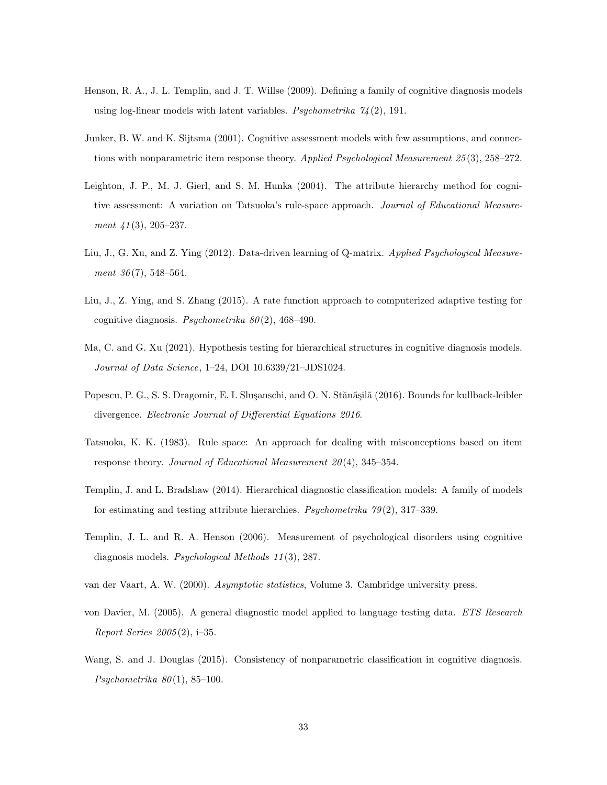- <span id="page-32-3"></span>Henson, R. A., J. L. Templin, and J. T. Willse (2009). Defining a family of cognitive diagnosis models using log-linear models with latent variables. Psychometrika  $74(2)$ , 191.
- <span id="page-32-0"></span>Junker, B. W. and K. Sijtsma (2001). Cognitive assessment models with few assumptions, and connections with nonparametric item response theory. Applied Psychological Measurement 25(3), 258–272.
- <span id="page-32-10"></span>Leighton, J. P., M. J. Gierl, and S. M. Hunka (2004). The attribute hierarchy method for cognitive assessment: A variation on Tatsuoka's rule-space approach. Journal of Educational Measurement 41 (3), 205–237.
- <span id="page-32-9"></span>Liu, J., G. Xu, and Z. Ying (2012). Data-driven learning of Q-matrix. Applied Psychological Measurement 36(7), 548–564.
- <span id="page-32-8"></span>Liu, J., Z. Ying, and S. Zhang (2015). A rate function approach to computerized adaptive testing for cognitive diagnosis. Psychometrika  $80(2)$ , 468-490.
- <span id="page-32-12"></span>Ma, C. and G. Xu (2021). Hypothesis testing for hierarchical structures in cognitive diagnosis models. Journal of Data Science, 1–24, DOI 10.6339/21–JDS1024.
- <span id="page-32-7"></span>Popescu, P. G., S. S. Dragomir, E. I. Slusanschi, and O. N. Stănășilă (2016). Bounds for kullback-leibler divergence. Electronic Journal of Differential Equations 2016.
- <span id="page-32-5"></span>Tatsuoka, K. K. (1983). Rule space: An approach for dealing with misconceptions based on item response theory. Journal of Educational Measurement  $20(4)$ , 345-354.
- <span id="page-32-11"></span>Templin, J. and L. Bradshaw (2014). Hierarchical diagnostic classification models: A family of models for estimating and testing attribute hierarchies. *Psychometrika*  $79(2)$ , 317–339.
- <span id="page-32-1"></span>Templin, J. L. and R. A. Henson (2006). Measurement of psychological disorders using cognitive diagnosis models. Psychological Methods 11 (3), 287.
- <span id="page-32-6"></span>van der Vaart, A. W. (2000). Asymptotic statistics, Volume 3. Cambridge university press.
- <span id="page-32-2"></span>von Davier, M. (2005). A general diagnostic model applied to language testing data. ETS Research Report Series 2005 (2), i–35.
- <span id="page-32-4"></span>Wang, S. and J. Douglas (2015). Consistency of nonparametric classification in cognitive diagnosis. Psychometrika  $80(1)$ , 85-100.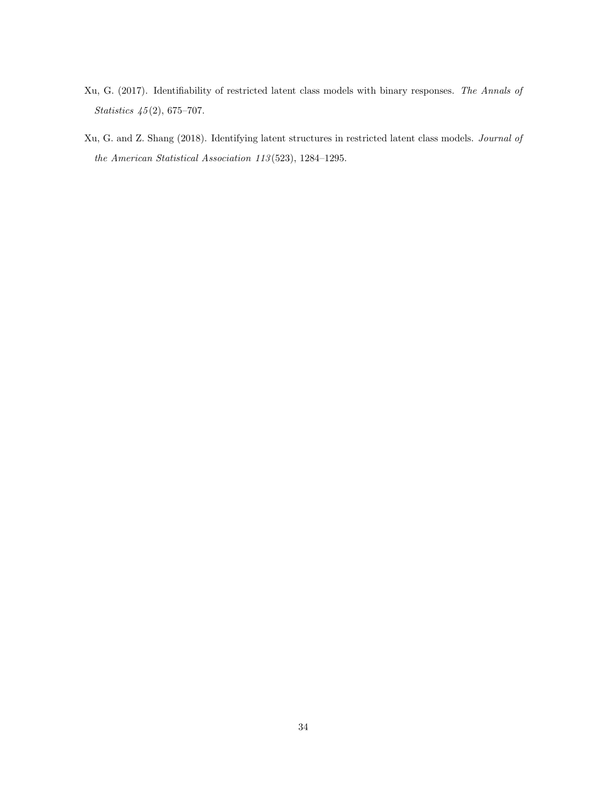- <span id="page-33-0"></span>Xu, G. (2017). Identifiability of restricted latent class models with binary responses. The Annals of Statistics  $\frac{45}{2}$ , 675–707.
- <span id="page-33-1"></span>Xu, G. and Z. Shang (2018). Identifying latent structures in restricted latent class models. Journal of the American Statistical Association 113 (523), 1284–1295.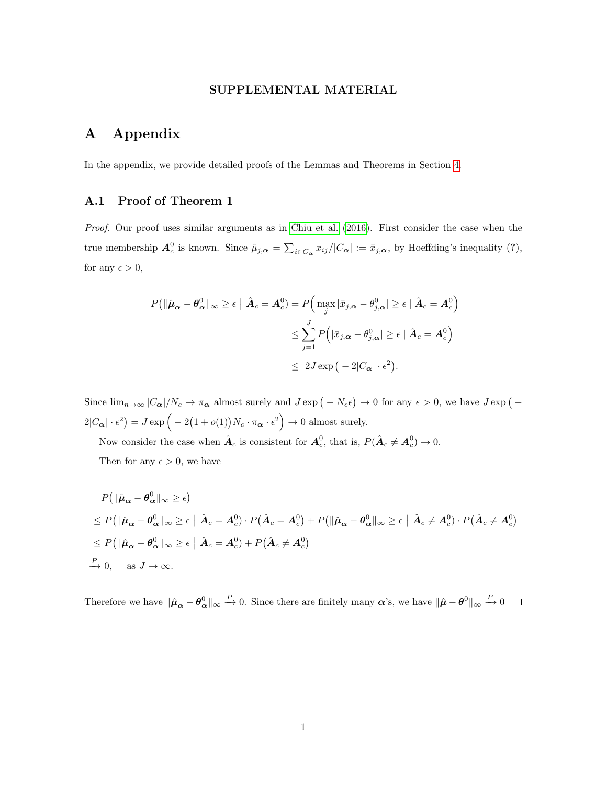#### SUPPLEMENTAL MATERIAL

# A Appendix

In the appendix, we provide detailed proofs of the Lemmas and Theorems in Section [4.](#page-12-0)

## <span id="page-34-0"></span>A.1 Proof of Theorem 1

Proof. Our proof uses similar arguments as in [Chiu et al.](#page-31-3) [\(2016\)](#page-31-3). First consider the case when the true membership  $A_c^0$  is known. Since  $\hat{\mu}_{j,\alpha} = \sum_{i \in C_{\alpha}} x_{ij}/|C_{\alpha}| := \bar{x}_{j,\alpha}$ , by Hoeffding's inequality (?), for any  $\epsilon > 0$ ,

$$
P(\|\hat{\boldsymbol{\mu}}_{\boldsymbol{\alpha}} - \boldsymbol{\theta}_{\boldsymbol{\alpha}}^0\|_{\infty} \geq \epsilon \mid \hat{\boldsymbol{A}}_c = \boldsymbol{A}_c^0) = P\Big(\max_j |\bar{x}_{j,\boldsymbol{\alpha}} - \theta_{j,\boldsymbol{\alpha}}^0| \geq \epsilon \mid \hat{\boldsymbol{A}}_c = \boldsymbol{A}_c^0\Big)
$$
  

$$
\leq \sum_{j=1}^J P\Big(|\bar{x}_{j,\boldsymbol{\alpha}} - \theta_{j,\boldsymbol{\alpha}}^0| \geq \epsilon \mid \hat{\boldsymbol{A}}_c = \boldsymbol{A}_c^0\Big)
$$
  

$$
\leq 2J \exp\big(-2|C_{\boldsymbol{\alpha}}|\cdot \epsilon^2\big).
$$

Since  $\lim_{n\to\infty}$   $|C_{\alpha}|/N_c \to \pi_{\alpha}$  almost surely and  $J \exp(-N_c \epsilon) \to 0$  for any  $\epsilon > 0$ , we have  $J \exp(-\epsilon)$  $2|C_{\alpha}| \cdot \epsilon^2$  =  $J \exp \left(-2(1+o(1))N_c \cdot \pi_{\alpha} \cdot \epsilon^2\right) \to 0$  almost surely.

Now consider the case when  $\hat{A}_c$  is consistent for  $A_c^0$ , that is,  $P(\hat{A}_c \neq A_c^0) \to 0$ .

Then for any  $\epsilon > 0$ , we have

$$
P(\|\hat{\mu}_{\alpha} - \theta_{\alpha}^{0}\|_{\infty} \geq \epsilon)
$$
  
\n
$$
\leq P(\|\hat{\mu}_{\alpha} - \theta_{\alpha}^{0}\|_{\infty} \geq \epsilon \mid \hat{A}_{c} = A_{c}^{0}) \cdot P(\hat{A}_{c} = A_{c}^{0}) + P(\|\hat{\mu}_{\alpha} - \theta_{\alpha}^{0}\|_{\infty} \geq \epsilon \mid \hat{A}_{c} \neq A_{c}^{0}) \cdot P(\hat{A}_{c} \neq A_{c}^{0})
$$
  
\n
$$
\leq P(\|\hat{\mu}_{\alpha} - \theta_{\alpha}^{0}\|_{\infty} \geq \epsilon \mid \hat{A}_{c} = A_{c}^{0}) + P(\hat{A}_{c} \neq A_{c}^{0})
$$
  
\n
$$
\xrightarrow{P} 0, \text{ as } J \to \infty.
$$

Therefore we have  $\|\hat{\boldsymbol{\mu}}_{\boldsymbol{\alpha}} - \boldsymbol{\theta}_{\boldsymbol{\alpha}}^0\|_{\infty} \stackrel{P}{\rightarrow} 0$ . Since there are finitely many  $\boldsymbol{\alpha}$ 's, we have  $\|\hat{\boldsymbol{\mu}} - \boldsymbol{\theta}^0\|_{\infty} \stackrel{P}{\rightarrow} 0$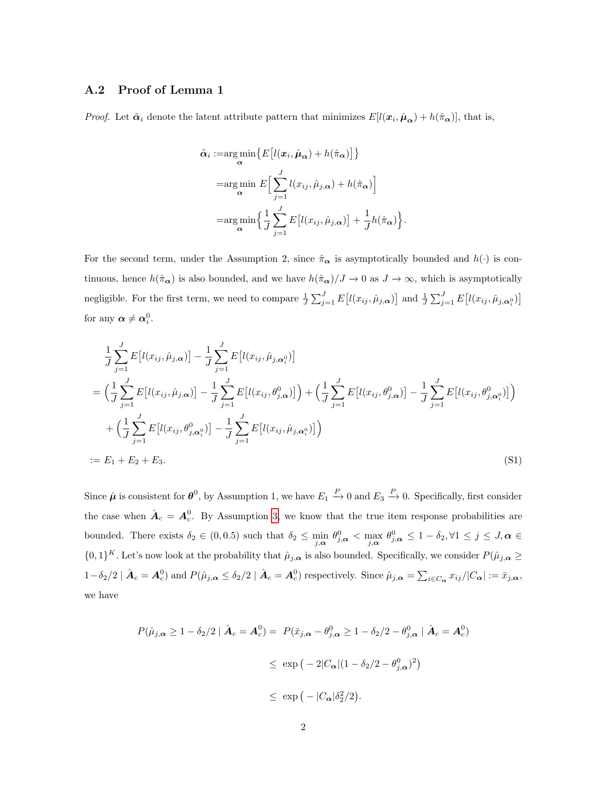#### <span id="page-35-0"></span>A.2 Proof of Lemma 1

*Proof.* Let  $\tilde{\alpha}_i$  denote the latent attribute pattern that minimizes  $E[l(\mathbf{x}_i, \hat{\boldsymbol{\mu}}_{\alpha}) + h(\hat{\pi}_{\alpha})]$ , that is,

$$
\tilde{\alpha}_{i} := \argmin_{\alpha} \left\{ E\left[l(\boldsymbol{x}_{i}, \hat{\boldsymbol{\mu}}_{\alpha}) + h(\hat{\pi}_{\alpha})\right] \right\}
$$
\n
$$
= \argmin_{\alpha} E\left[\sum_{j=1}^{J} l(x_{ij}, \hat{\mu}_{j,\alpha}) + h(\hat{\pi}_{\alpha})\right]
$$
\n
$$
= \argmin_{\alpha} \left\{ \frac{1}{J} \sum_{j=1}^{J} E\left[l(x_{ij}, \hat{\mu}_{j,\alpha})\right] + \frac{1}{J} h(\hat{\pi}_{\alpha}) \right\}.
$$

For the second term, under the Assumption 2, since  $\hat{\pi}_{\alpha}$  is asymptotically bounded and  $h(\cdot)$  is continuous, hence  $h(\hat{\pi}_{\alpha})$  is also bounded, and we have  $h(\hat{\pi}_{\alpha})/J \to 0$  as  $J \to \infty$ , which is asymptotically negligible. For the first term, we need to compare  $\frac{1}{J}\sum_{j=1}^{J} E[l(x_{ij}, \hat{\mu}_{j,\alpha})]$  and  $\frac{1}{J}\sum_{j=1}^{J} E[l(x_{ij}, \hat{\mu}_{j,\alpha})]$ for any  $\boldsymbol{\alpha} \neq \boldsymbol{\alpha}_i^0$ .

$$
\frac{1}{J} \sum_{j=1}^{J} E[l(x_{ij}, \hat{\mu}_{j,\alpha})] - \frac{1}{J} \sum_{j=1}^{J} E[l(x_{ij}, \hat{\mu}_{j,\alpha})]
$$
\n
$$
= \left(\frac{1}{J} \sum_{j=1}^{J} E[l(x_{ij}, \hat{\mu}_{j,\alpha})] - \frac{1}{J} \sum_{j=1}^{J} E[l(x_{ij}, \theta_{j,\alpha}^{0})]\right) + \left(\frac{1}{J} \sum_{j=1}^{J} E[l(x_{ij}, \theta_{j,\alpha}^{0})] - \frac{1}{J} \sum_{j=1}^{J} E[l(x_{ij}, \theta_{j,\alpha}^{0})]\right)
$$
\n
$$
+ \left(\frac{1}{J} \sum_{j=1}^{J} E[l(x_{ij}, \theta_{j,\alpha}^{0})] - \frac{1}{J} \sum_{j=1}^{J} E[l(x_{ij}, \hat{\mu}_{j,\alpha}^{0})]\right)
$$
\n
$$
:= E_1 + E_2 + E_3.
$$
\n(S1)

Since  $\hat{\mu}$  is consistent for  $\theta^0$ , by Assumption 1, we have  $E_1 \stackrel{P}{\rightarrow} 0$  and  $E_3 \stackrel{P}{\rightarrow} 0$ . Specifically, first consider the case when  $\hat{A}_c = A_c^0$ . By Assumption [3,](#page-13-1) we know that the true item response probabilities are bounded. There exists  $\delta_2 \in (0, 0.5)$  such that  $\delta_2 \le \min_{j,\alpha} \theta_{j,\alpha}^0 < \max_{j,\alpha} \theta_{j,\alpha}^0 \le 1 - \delta_2, \forall 1 \le j \le J, \alpha \in$  $\{0,1\}^K$ . Let's now look at the probability that  $\hat{\mu}_{j,\alpha}$  is also bounded. Specifically, we consider  $P(\hat{\mu}_{j,\alpha} \geq$  $1-\delta_2/2 \mid \hat{\mathbf{A}}_c = \mathbf{A}_c^0$  and  $P(\hat{\mu}_{j,\alpha} \leq \delta_2/2 \mid \hat{\mathbf{A}}_c = \mathbf{A}_c^0)$  respectively. Since  $\hat{\mu}_{j,\alpha} = \sum_{i \in C_{\alpha}} x_{ij} / |C_{\alpha}| := \bar{x}_{j,\alpha}$ , we have

$$
P(\hat{\mu}_{j,\alpha} \ge 1 - \delta_2/2 \mid \hat{\mathbf{A}}_c = \mathbf{A}_c^0) = P(\bar{x}_{j,\alpha} - \theta_{j,\alpha}^0 \ge 1 - \delta_2/2 - \theta_{j,\alpha}^0 \mid \hat{\mathbf{A}}_c = \mathbf{A}_c^0)
$$
  

$$
\le \exp(-2|C_{\alpha}|(1 - \delta_2/2 - \theta_{j,\alpha}^0)^2)
$$
  

$$
\le \exp(-|C_{\alpha}|\delta_2^2/2).
$$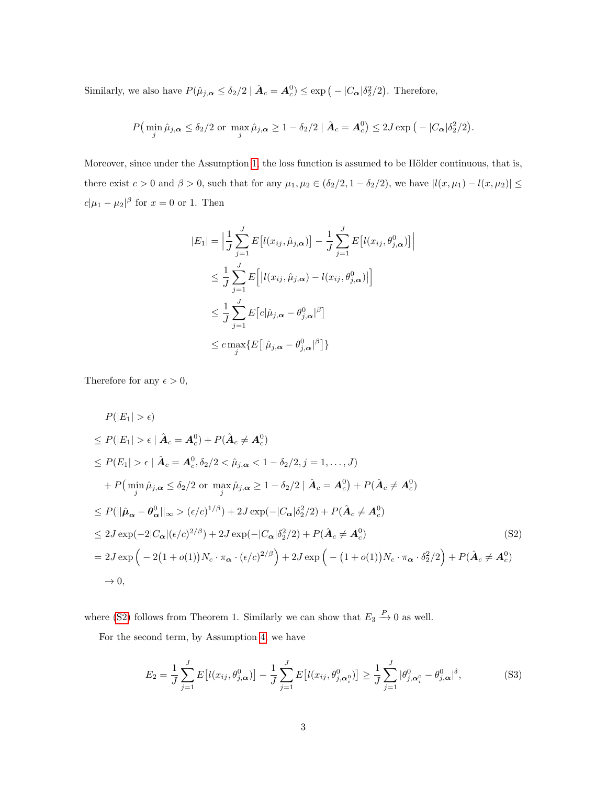Similarly, we also have  $P(\hat{\mu}_{j,\alpha} \leq \delta_2/2 \mid \hat{\boldsymbol{A}}_c = \boldsymbol{A}_c^0) \leq \exp(-|C_{\boldsymbol{\alpha}}|\delta_2^2/2)$ . Therefore,

$$
P\left(\min_j \hat{\mu}_{j,\alpha} \le \delta_2/2 \text{ or } \max_j \hat{\mu}_{j,\alpha} \ge 1 - \delta_2/2 \mid \hat{\boldsymbol{A}}_c = \boldsymbol{A}_c^0\right) \le 2J \exp\left(-\frac{|C_{\alpha}|\delta_2^2/2}{2}\right).
$$

Moreover, since under the Assumption [1,](#page-12-1) the loss function is assumed to be Hölder continuous, that is, there exist  $c > 0$  and  $\beta > 0$ , such that for any  $\mu_1, \mu_2 \in (\delta_2/2, 1 - \delta_2/2)$ , we have  $|l(x, \mu_1) - l(x, \mu_2)| \le$  $c|\mu_1 - \mu_2|^{\beta}$  for  $x = 0$  or 1. Then

$$
|E_1| = \left| \frac{1}{J} \sum_{j=1}^{J} E\left[l(x_{ij}, \hat{\mu}_{j,\alpha})\right] - \frac{1}{J} \sum_{j=1}^{J} E\left[l(x_{ij}, \theta_{j,\alpha}^0)\right] \right|
$$
  
\n
$$
\leq \frac{1}{J} \sum_{j=1}^{J} E\left[ |l(x_{ij}, \hat{\mu}_{j,\alpha}) - l(x_{ij}, \theta_{j,\alpha}^0)| \right]
$$
  
\n
$$
\leq \frac{1}{J} \sum_{j=1}^{J} E\left[c|\hat{\mu}_{j,\alpha} - \theta_{j,\alpha}^0|^{\beta}\right]
$$
  
\n
$$
\leq c \max_{j} \{E\left[ |\hat{\mu}_{j,\alpha} - \theta_{j,\alpha}^0|^{\beta} \right] \}
$$

Therefore for any  $\epsilon > 0$ ,

$$
P(|E_1| > \epsilon)
$$
  
\n
$$
\leq P(|E_1| > \epsilon | \hat{\mathbf{A}}_c = \mathbf{A}_c^0) + P(\hat{\mathbf{A}}_c \neq \mathbf{A}_c^0)
$$
  
\n
$$
\leq P(E_1| > \epsilon | \hat{\mathbf{A}}_c = \mathbf{A}_c^0, \delta_2/2 < \hat{\mu}_{j,\alpha} < 1 - \delta_2/2, j = 1, ..., J)
$$
  
\n
$$
+ P(\min_j \hat{\mu}_{j,\alpha} \leq \delta_2/2 \text{ or } \max_j \hat{\mu}_{j,\alpha} \geq 1 - \delta_2/2 | \hat{\mathbf{A}}_c = \mathbf{A}_c^0) + P(\hat{\mathbf{A}}_c \neq \mathbf{A}_c^0)
$$
  
\n
$$
\leq P(||\hat{\mu}_{\alpha} - \theta_{\alpha}^0||_{\infty} > (\epsilon/c)^{1/\beta}) + 2J \exp(-|C_{\alpha}|\delta_2^2/2) + P(\hat{\mathbf{A}}_c \neq \mathbf{A}_c^0)
$$
  
\n
$$
\leq 2J \exp(-2|C_{\alpha}|(\epsilon/c)^{2/\beta}) + 2J \exp(-|C_{\alpha}|\delta_2^2/2) + P(\hat{\mathbf{A}}_c \neq \mathbf{A}_c^0)
$$
  
\n
$$
= 2J \exp(-2(1 + o(1))N_c \cdot \pi_{\alpha} \cdot (\epsilon/c)^{2/\beta}) + 2J \exp(-(1 + o(1))N_c \cdot \pi_{\alpha} \cdot \delta_2^2/2) + P(\hat{\mathbf{A}}_c \neq \mathbf{A}_c^0)
$$
  
\n
$$
\to 0,
$$
 (S2)

where [\(S2\)](#page-36-0) follows from Theorem 1. Similarly we can show that  $E_3 \stackrel{P}{\rightarrow} 0$  as well.

For the second term, by Assumption [4,](#page-13-3) we have

<span id="page-36-1"></span><span id="page-36-0"></span>
$$
E_2 = \frac{1}{J} \sum_{j=1}^{J} E\left[l(x_{ij}, \theta_{j,\alpha}^0)\right] - \frac{1}{J} \sum_{j=1}^{J} E\left[l(x_{ij}, \theta_{j,\alpha_i^0}^0)\right] \ge \frac{1}{J} \sum_{j=1}^{J} |\theta_{j,\alpha_i^0}^0 - \theta_{j,\alpha}^0|^{\delta},\tag{S3}
$$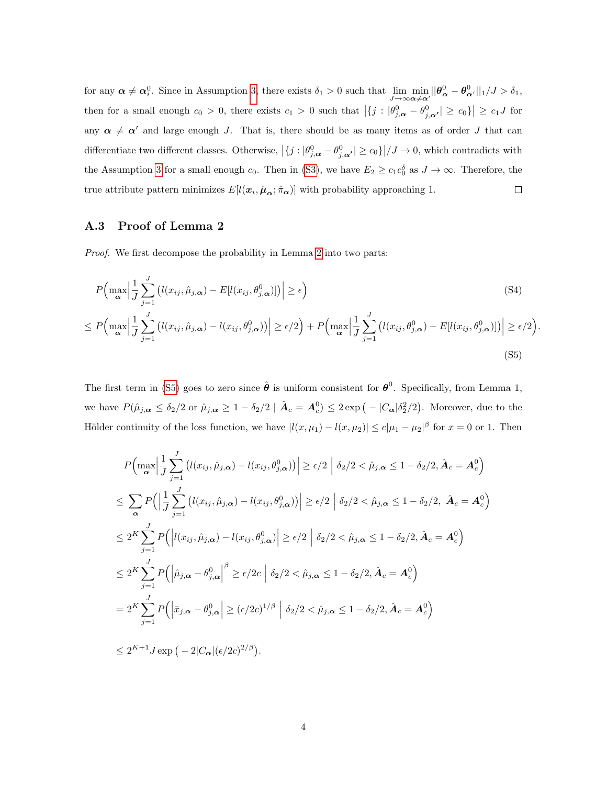for any  $\alpha \neq \alpha_i^0$ . Since in Assumption [3,](#page-13-1) there exists  $\delta_1 > 0$  such that  $\lim_{J \to \infty} \min_{\alpha \neq \alpha'} ||\theta_{\alpha}^0 - \theta_{\alpha'}^0||_1 / J > \delta_1$ , then for a small enough  $c_0 > 0$ , there exists  $c_1 > 0$  such that  $|\{j : |\theta_{j,\alpha}^0 - \theta_{j,\alpha'}^0| \ge c_0\}| \ge c_1 J$  for any  $\alpha \neq \alpha'$  and large enough J. That is, there should be as many items as of order J that can differentiate two different classes. Otherwise,  $|\{j : |\theta_{j,\alpha}^0 - \theta_{j,\alpha'}^0| \ge c_0\}|/J \to 0$ , which contradicts with the Assumption [3](#page-13-1) for a small enough  $c_0$ . Then in [\(S3\)](#page-36-1), we have  $E_2 \geq c_1 c_0^{\delta}$  as  $J \to \infty$ . Therefore, the true attribute pattern minimizes  $E[l(\mathbf{x}_i, \hat{\boldsymbol{\mu}}_{\alpha}; \hat{\pi}_{\alpha})]$  with probability approaching 1.  $\Box$ 

#### A.3 Proof of Lemma 2

Proof. We first decompose the probability in Lemma [2](#page-15-2) into two parts:

$$
P\left(\max_{\alpha} \left| \frac{1}{J} \sum_{j=1}^{J} \left( l(x_{ij}, \hat{\mu}_{j,\alpha}) - E[l(x_{ij}, \theta_{j,\alpha}^{0})] \right) \right| \ge \epsilon \right)
$$
\n(S4)

$$
\leq P\Big(\max_{\alpha} \Big|\frac{1}{J}\sum_{j=1}^{J} \big(l(x_{ij}, \hat{\mu}_{j,\alpha}) - l(x_{ij}, \theta_{j,\alpha}^{0})\big)\Big| \geq \epsilon/2\Big) + P\Big(\max_{\alpha} \Big|\frac{1}{J}\sum_{j=1}^{J} \big(l(x_{ij}, \theta_{j,\alpha}^{0}) - E[l(x_{ij}, \theta_{j,\alpha}^{0})]\big)\Big| \geq \epsilon/2\Big)
$$
\n(S5)

<span id="page-37-0"></span>.

The first term in [\(S5\)](#page-37-0) goes to zero since  $\hat{\boldsymbol{\theta}}$  is uniform consistent for  $\boldsymbol{\theta}^0$ . Specifically, from Lemma 1, we have  $P(\hat{\mu}_{j,\alpha} \leq \delta_2/2 \text{ or } \hat{\mu}_{j,\alpha} \geq 1 - \delta_2/2 \mid \hat{A}_c = A_c^0) \leq 2 \exp(-|C_{\alpha}| \delta_2^2/2)$ . Moreover, due to the Hölder continuity of the loss function, we have  $|l(x, \mu_1) - l(x, \mu_2)| \leq c |\mu_1 - \mu_2|^{\beta}$  for  $x = 0$  or 1. Then

$$
P\left(\max_{\alpha} \left| \frac{1}{J} \sum_{j=1}^{J} \left( l(x_{ij}, \hat{\mu}_{j,\alpha}) - l(x_{ij}, \theta_{j,\alpha}^{0}) \right) \right| \geq \epsilon/2 \left| \delta_{2}/2 < \hat{\mu}_{j,\alpha} \leq 1 - \delta_{2}/2, \hat{A}_{c} = A_{c}^{0} \right)
$$
  
\n
$$
\leq \sum_{\alpha} P\left( \left| \frac{1}{J} \sum_{j=1}^{J} \left( l(x_{ij}, \hat{\mu}_{j,\alpha}) - l(x_{ij}, \theta_{j,\alpha}^{0}) \right) \right| \geq \epsilon/2 \left| \delta_{2}/2 < \hat{\mu}_{j,\alpha} \leq 1 - \delta_{2}/2, \hat{A}_{c} = A_{c}^{0} \right)
$$
  
\n
$$
\leq 2^{K} \sum_{j=1}^{J} P\left( \left| l(x_{ij}, \hat{\mu}_{j,\alpha}) - l(x_{ij}, \theta_{j,\alpha}^{0}) \right| \geq \epsilon/2 \left| \delta_{2}/2 < \hat{\mu}_{j,\alpha} \leq 1 - \delta_{2}/2, \hat{A}_{c} = A_{c}^{0} \right) \right.
$$
  
\n
$$
\leq 2^{K} \sum_{j=1}^{J} P\left( \left| \hat{\mu}_{j,\alpha} - \theta_{j,\alpha}^{0} \right| \geq \epsilon/2c \left| \delta_{2}/2 < \hat{\mu}_{j,\alpha} \leq 1 - \delta_{2}/2, \hat{A}_{c} = A_{c}^{0} \right) \right.
$$
  
\n
$$
= 2^{K} \sum_{j=1}^{J} P\left( \left| \bar{x}_{j,\alpha} - \theta_{j,\alpha}^{0} \right| \geq (\epsilon/2c)^{1/\beta} \left| \delta_{2}/2 < \hat{\mu}_{j,\alpha} \leq 1 - \delta_{2}/2, \hat{A}_{c} = A_{c}^{0} \right) \right.
$$
  
\n
$$
\leq 2^{K+1} J \exp\left( -2|C_{\alpha}|(\epsilon/2c)^{2/\beta} \right).
$$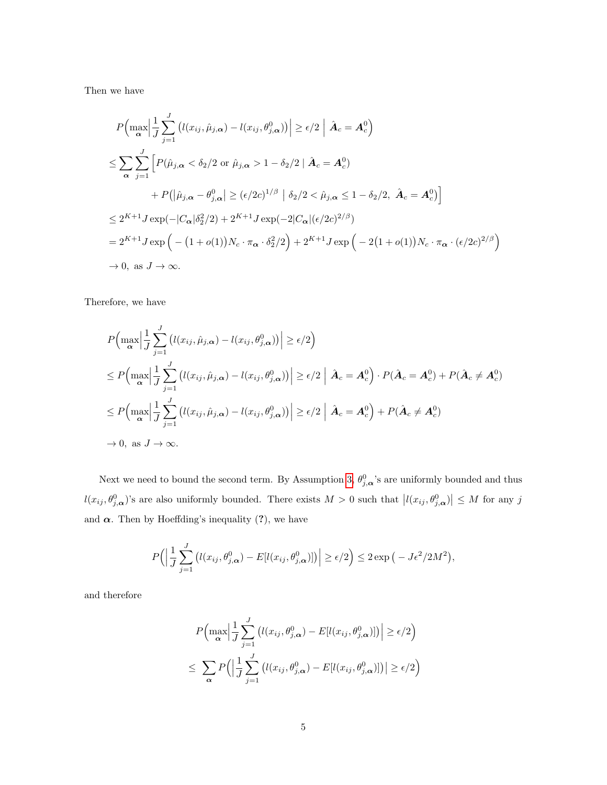Then we have

$$
P\left(\max_{\alpha} \left| \frac{1}{J} \sum_{j=1}^{J} \left( l(x_{ij}, \hat{\mu}_{j,\alpha}) - l(x_{ij}, \theta_{j,\alpha}^0) \right) \right| \ge \epsilon/2 \left| \hat{A}_c = A_c^0 \right)
$$
  
\n
$$
\le \sum_{\alpha} \sum_{j=1}^{J} \left[ P(\hat{\mu}_{j,\alpha} < \delta_2/2 \text{ or } \hat{\mu}_{j,\alpha} > 1 - \delta_2/2 \mid \hat{A}_c = A_c^0) + P\left( \left| \hat{\mu}_{j,\alpha} - \theta_{j,\alpha}^0 \right| \ge (\epsilon/2c)^{1/\beta} \mid \delta_2/2 < \hat{\mu}_{j,\alpha} \le 1 - \delta_2/2, \hat{A}_c = A_c^0 \right) \right]
$$
  
\n
$$
\le 2^{K+1} J \exp\left(-|C_{\alpha}| \delta_2^2/2\right) + 2^{K+1} J \exp\left(-2|C_{\alpha}| (\epsilon/2c)^{2/\beta}\right)
$$
  
\n
$$
= 2^{K+1} J \exp\left(-\left(1 + o(1)\right) N_c \cdot \pi_\alpha \cdot \delta_2^2/2\right) + 2^{K+1} J \exp\left(-2\left(1 + o(1)\right) N_c \cdot \pi_\alpha \cdot (\epsilon/2c)^{2/\beta}\right)
$$
  
\n
$$
\to 0, \text{ as } J \to \infty.
$$

Therefore, we have

$$
P\left(\max_{\alpha} \left| \frac{1}{J} \sum_{j=1}^{J} \left( l(x_{ij}, \hat{\mu}_{j,\alpha}) - l(x_{ij}, \theta_{j,\alpha}^{0}) \right) \right| \geq \epsilon/2 \right)
$$
  
\n
$$
\leq P\left(\max_{\alpha} \left| \frac{1}{J} \sum_{j=1}^{J} \left( l(x_{ij}, \hat{\mu}_{j,\alpha}) - l(x_{ij}, \theta_{j,\alpha}^{0}) \right) \right| \geq \epsilon/2 \left| \hat{A}_{c} = A_{c}^{0} \right| \cdot P(\hat{A}_{c} = A_{c}^{0}) + P(\hat{A}_{c} \neq A_{c}^{0})
$$
  
\n
$$
\leq P\left(\max_{\alpha} \left| \frac{1}{J} \sum_{j=1}^{J} \left( l(x_{ij}, \hat{\mu}_{j,\alpha}) - l(x_{ij}, \theta_{j,\alpha}^{0}) \right) \right| \geq \epsilon/2 \left| \hat{A}_{c} = A_{c}^{0} \right| + P(\hat{A}_{c} \neq A_{c}^{0})
$$
  
\n
$$
\to 0, \text{ as } J \to \infty.
$$

Next we need to bound the second term. By Assumption [3,](#page-13-1)  $\theta_{j,\alpha}^0$ 's are uniformly bounded and thus  $l(x_{ij}, \theta_{j,\alpha}^0)$ 's are also uniformly bounded. There exists  $M > 0$  such that  $|l(x_{ij}, \theta_{j,\alpha}^0)| \leq M$  for any j and  $\alpha$ . Then by Hoeffding's inequality (?), we have

$$
P\Big(\Big|\frac{1}{J}\sum_{j=1}^{J}\big(l(x_{ij},\theta_{j,\alpha}^{0})-E[l(x_{ij},\theta_{j,\alpha}^{0})]\big)\Big|\geq\epsilon/2\Big)\leq 2\exp\big(-J\epsilon^{2}/2M^{2}\big),
$$

and therefore

$$
P\left(\max_{\alpha} \left| \frac{1}{J} \sum_{j=1}^{J} \left( l(x_{ij}, \theta_{j,\alpha}^{0}) - E[l(x_{ij}, \theta_{j,\alpha}^{0})] \right) \right| \ge \epsilon/2 \right)
$$
  

$$
\le \sum_{\alpha} P\left(\left| \frac{1}{J} \sum_{j=1}^{J} \left( l(x_{ij}, \theta_{j,\alpha}^{0}) - E[l(x_{ij}, \theta_{j,\alpha}^{0})] \right) \right| \ge \epsilon/2 \right)
$$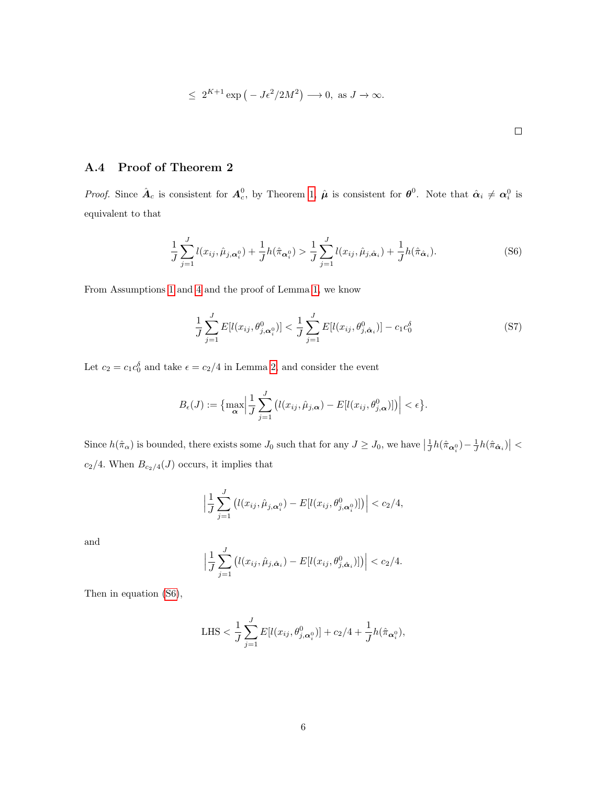$$
\leq 2^{K+1} \exp(-J\epsilon^2/2M^2) \longrightarrow 0, \text{ as } J \to \infty.
$$

 $\Box$ 

## <span id="page-39-0"></span>A.4 Proof of Theorem 2

*Proof.* Since  $\hat{\boldsymbol{A}}_c$  is consistent for  $\boldsymbol{A}_c^0$ , by Theorem [1,](#page-14-0)  $\hat{\boldsymbol{\mu}}$  is consistent for  $\boldsymbol{\theta}^0$ . Note that  $\hat{\boldsymbol{\alpha}}_i \neq \boldsymbol{\alpha}_i^0$  is equivalent to that

<span id="page-39-1"></span>
$$
\frac{1}{J} \sum_{j=1}^{J} l(x_{ij}, \hat{\mu}_{j, \alpha_i^0}) + \frac{1}{J} h(\hat{\pi}_{\alpha_i^0}) > \frac{1}{J} \sum_{j=1}^{J} l(x_{ij}, \hat{\mu}_{j, \hat{\alpha}_i}) + \frac{1}{J} h(\hat{\pi}_{\hat{\alpha}_i}).
$$
\n(S6)

From Assumptions [1](#page-12-1) and [4](#page-13-3) and the proof of Lemma [1,](#page-15-1) we know

$$
\frac{1}{J} \sum_{j=1}^{J} E[l(x_{ij}, \theta_{j, \alpha_i^0}^0)] < \frac{1}{J} \sum_{j=1}^{J} E[l(x_{ij}, \theta_{j, \hat{\alpha}_i}^0)] - c_1 c_0^{\delta}
$$
 (S7)

Let  $c_2 = c_1 c_0^{\delta}$  and take  $\epsilon = c_2/4$  in Lemma [2,](#page-15-2) and consider the event

$$
B_{\epsilon}(J) := \left\{ \max_{\alpha} \left| \frac{1}{J} \sum_{j=1}^{J} \left( l(x_{ij}, \hat{\mu}_{j,\alpha}) - E[l(x_{ij}, \theta_{j,\alpha}^0)] \right) \right| < \epsilon \right\}.
$$

Since  $h(\hat{\pi}_{\alpha})$  is bounded, there exists some  $J_0$  such that for any  $J \geq J_0$ , we have  $\left|\frac{1}{J}h(\hat{\pi}_{\alpha_i^0}) - \frac{1}{J}h(\hat{\pi}_{\hat{\alpha}_i})\right|$  <  $c_2/4.$  When  $B_{c_2/4}({\cal J})$  occurs, it implies that

$$
\left| \frac{1}{J} \sum_{j=1}^{J} \left( l(x_{ij}, \hat{\mu}_{j, \alpha_i^0}) - E[l(x_{ij}, \theta_{j, \alpha_i^0})] \right) \right| < c_2/4,
$$

and

$$
\left| \frac{1}{J} \sum_{j=1}^{J} \left( l(x_{ij}, \hat{\mu}_{j, \hat{\alpha}_i}) - E[l(x_{ij}, \theta_{j, \hat{\alpha}_i})] \right) \right| < c_2/4.
$$

Then in equation [\(S6\)](#page-39-1),

LHS 
$$
\langle \frac{1}{J} \sum_{j=1}^{J} E[l(x_{ij}, \theta_{j,\alpha_i^0})] + c_2/4 + \frac{1}{J} h(\hat{\pi}_{\alpha_i^0}),
$$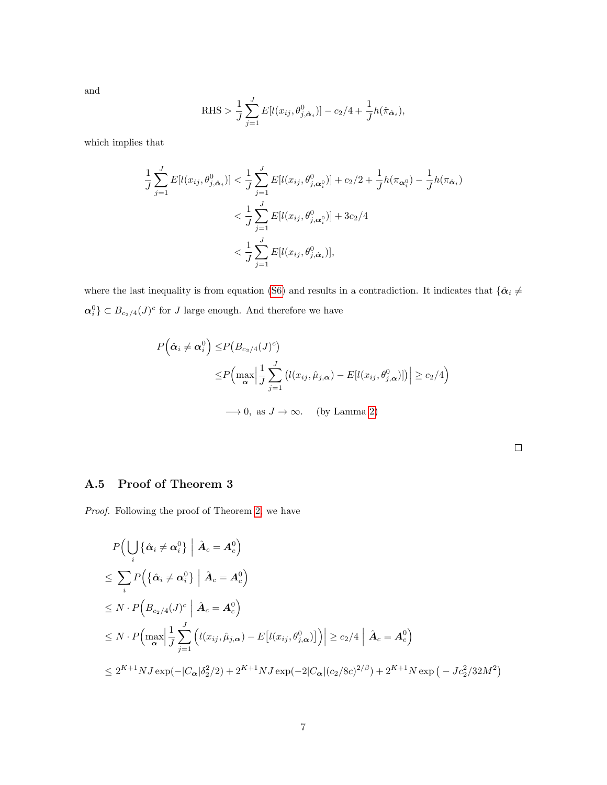and

RHS > 
$$
\frac{1}{J} \sum_{j=1}^{J} E[l(x_{ij}, \theta_{j, \hat{\alpha}_i})] - c_2/4 + \frac{1}{J} h(\hat{\pi}_{\hat{\alpha}_i}),
$$

which implies that

$$
\frac{1}{J} \sum_{j=1}^{J} E[l(x_{ij}, \theta_{j, \hat{\alpha}_i}^0)] < \frac{1}{J} \sum_{j=1}^{J} E[l(x_{ij}, \theta_{j, \alpha_i^0}^0)] + c_2/2 + \frac{1}{J} h(\pi_{\alpha_i^0}) - \frac{1}{J} h(\pi_{\hat{\alpha}_i}) \n< \frac{1}{J} \sum_{j=1}^{J} E[l(x_{ij}, \theta_{j, \alpha_i^0}^0)] + 3c_2/4 \n< \frac{1}{J} \sum_{j=1}^{J} E[l(x_{ij}, \theta_{j, \hat{\alpha}_i}^0)],
$$

where the last inequality is from equation [\(S6\)](#page-39-1) and results in a contradiction. It indicates that  $\{\hat{\alpha}_i \neq \emptyset\}$  $\alpha_i^0$   $\}$   $\subset$   $B_{c_2/4}(J)^c$  for J large enough. And therefore we have

$$
P(\hat{\alpha}_i \neq \alpha_i^0) \leq P(B_{c_2/4}(J)^c)
$$
  
\n
$$
\leq P\Big(\max_{\alpha} \Big| \frac{1}{J} \sum_{j=1}^J \big(l(x_{ij}, \hat{\mu}_{j,\alpha}) - E[l(x_{ij}, \theta_{j,\alpha}^0)]\big| \geq c_2/4\Big)
$$
  
\n
$$
\longrightarrow 0, \text{ as } J \to \infty. \quad \text{(by Lamma 2)}
$$

 $\Box$ 

## A.5 Proof of Theorem 3

Proof. Following the proof of Theorem [2,](#page-15-0) we have

$$
P\Big(\bigcup_{i} \{\hat{\alpha}_{i} \neq \alpha_{i}^{0}\} \mid \hat{A}_{c} = A_{c}^{0}\Big)
$$
  
\n
$$
\leq \sum_{i} P\Big(\{\hat{\alpha}_{i} \neq \alpha_{i}^{0}\} \mid \hat{A}_{c} = A_{c}^{0}\Big)
$$
  
\n
$$
\leq N \cdot P\Big(B_{c_{2}/4}(J)^{c} \mid \hat{A}_{c} = A_{c}^{0}\Big)
$$
  
\n
$$
\leq N \cdot P\Big(\max_{\alpha} \Big|\frac{1}{J} \sum_{j=1}^{J} \Big(l(x_{ij}, \hat{\mu}_{j,\alpha}) - E\big[l(x_{ij}, \theta_{j,\alpha}^{0})\big]\Big)\Big| \geq c_{2}/4 \mid \hat{A}_{c} = A_{c}^{0}\Big)
$$
  
\n
$$
\leq 2^{K+1}NJ \exp(-|C_{\alpha}| \delta_{2}^{2}/2) + 2^{K+1}NJ \exp(-2|C_{\alpha}|(c_{2}/8c)^{2/\beta}) + 2^{K+1}N \exp(-Jc_{2}^{2}/32M^{2})
$$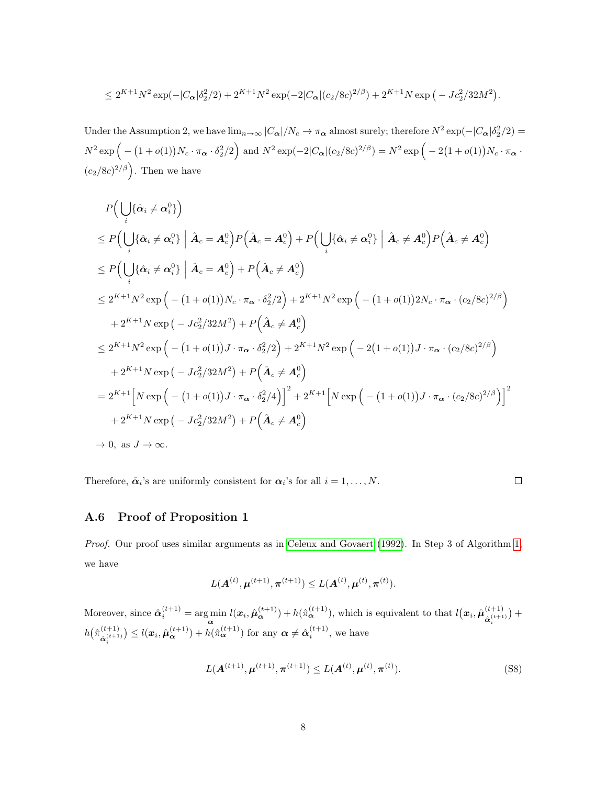$$
\leq 2^{K+1}N^2 \exp(-|C_{\alpha}|\delta_2^2/2) + 2^{K+1}N^2 \exp(-2|C_{\alpha}|(c_2/8c)^{2/\beta}) + 2^{K+1}N \exp(-Jc_2^2/32M^2).
$$

Under the Assumption 2, we have  $\lim_{n\to\infty}$   $|C_{\alpha}|/N_c \to \pi_{\alpha}$  almost surely; therefore  $N^2 \exp(-|C_{\alpha}| \delta_2^2/2) =$  $N^2 \exp \Big( - (1 + o(1)) N_c \cdot \pi_{\alpha} \cdot \delta_2^2/2 \Big)$  and  $N^2 \exp(-2|C_{\alpha}|(c_2/8c)^{2/\beta}) = N^2 \exp \Big( -2(1 + o(1)) N_c \cdot \pi_{\alpha} \cdot \delta_2^2/2 \Big)$  $(c_2/8c)^{2/\beta}$ . Then we have

$$
P\left(\bigcup_{i} \{\hat{\alpha}_{i} \neq \alpha_{i}^{0}\}\right)
$$
  
\n
$$
\leq P\left(\bigcup_{i} \{\hat{\alpha}_{i} \neq \alpha_{i}^{0}\}\middle| \hat{A}_{c} = A_{c}^{0}\right) P\left(\hat{A}_{c} = A_{c}^{0}\right) + P\left(\bigcup_{i} \{\hat{\alpha}_{i} \neq \alpha_{i}^{0}\}\middle| \hat{A}_{c} \neq A_{c}^{0}\right) P\left(\hat{A}_{c} \neq A_{c}^{0}\right)
$$
  
\n
$$
\leq P\left(\bigcup_{i} \{\hat{\alpha}_{i} \neq \alpha_{i}^{0}\}\middle| \hat{A}_{c} = A_{c}^{0}\right) + P\left(\hat{A}_{c} \neq A_{c}^{0}\right)
$$
  
\n
$$
\leq 2^{K+1}N^{2} \exp\left(-\left(1+o(1)\right)N_{c} \cdot \pi_{\alpha} \cdot \delta_{2}^{2}/2\right) + 2^{K+1}N^{2} \exp\left(-\left(1+o(1)\right)2N_{c} \cdot \pi_{\alpha} \cdot (c_{2}/8c)^{2/\beta}\right)
$$
  
\n
$$
+ 2^{K+1}N \exp\left(-Jc_{2}^{2}/32M^{2}\right) + P\left(\hat{A}_{c} \neq A_{c}^{0}\right)
$$
  
\n
$$
\leq 2^{K+1}N^{2} \exp\left(-\left(1+o(1)\right)J \cdot \pi_{\alpha} \cdot \delta_{2}^{2}/2\right) + 2^{K+1}N^{2} \exp\left(-2\left(1+o(1)\right)J \cdot \pi_{\alpha} \cdot (c_{2}/8c)^{2/\beta}\right)
$$
  
\n
$$
+ 2^{K+1}N \exp\left(-Jc_{2}^{2}/32M^{2}\right) + P\left(\hat{A}_{c} \neq A_{c}^{0}\right)
$$
  
\n
$$
= 2^{K+1}\left[N \exp\left(-\left(1+o(1)\right)J \cdot \pi_{\alpha} \cdot \delta_{2}^{2}/4\right)\right]^{2} + 2^{K+1}\left[N \exp\left(-\left(1+o(1)\right)J \cdot \pi_{\alpha} \cdot (c_{2}/8c)^{2/\beta}\right)\right]^{
$$

Therefore,  $\hat{\alpha}_i$ 's are uniformly consistent for  $\alpha_i$ 's for all  $i = 1, ..., N$ .

$$
\Box
$$

### <span id="page-41-0"></span>A.6 Proof of Proposition 1

Proof. Our proof uses similar arguments as in [Celeux and Govaert](#page-30-3) [\(1992\)](#page-30-3). In Step 3 of Algorithm [1,](#page-11-0) we have

$$
L(\mathbf{A}^{(t)}, \boldsymbol{\mu}^{(t+1)}, \boldsymbol{\pi}^{(t+1)}) \leq L(\mathbf{A}^{(t)}, \boldsymbol{\mu}^{(t)}, \boldsymbol{\pi}^{(t)}).
$$

Moreover, since  $\hat{\alpha}_i^{(t+1)} = \argmin_{\alpha} l(x_i, \hat{\mu}_{\alpha}^{(t+1)}) + h(\hat{\pi}_{\alpha}^{(t+1)})$ , which is equivalent to that  $l(x_i, \hat{\mu}_{\hat{\alpha}_i^{(t+1)}}^{(t+1)})$  $\left(\alpha_i^{(t+1)}\right)+$  $h\bigl(\hat{\pi}_{\frac{(t+1)}{(t+1)}}^{(t+1)}$  $\hat{\mathbf{a}}_{i}^{(t+1)}$   $\leq l(\boldsymbol{x}_{i}, \hat{\boldsymbol{\mu}}_{\boldsymbol{\alpha}}^{(t+1)}) + h(\hat{\pi}_{\boldsymbol{\alpha}}^{(t+1)})$  for any  $\boldsymbol{\alpha} \neq \hat{\alpha}_{i}^{(t+1)}$ , we have

$$
L(\mathbf{A}^{(t+1)}, \boldsymbol{\mu}^{(t+1)}, \boldsymbol{\pi}^{(t+1)}) \le L(\mathbf{A}^{(t)}, \boldsymbol{\mu}^{(t)}, \boldsymbol{\pi}^{(t)}).
$$
 (S8)